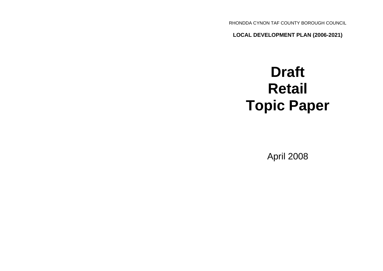RHONDDA CYNON TAF COUNTY BOROUGH COUNCIL

**LOCAL DEVELOPMENT PLAN (2006-2021)**

# **Draft Retail Topic Paper**

April 2008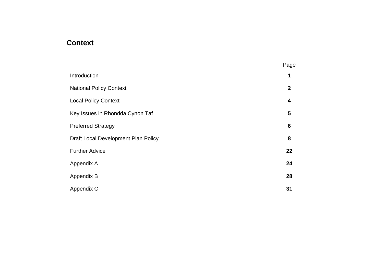### **Context**

|                                     | Page             |
|-------------------------------------|------------------|
| Introduction                        | 1                |
| <b>National Policy Context</b>      | $\boldsymbol{2}$ |
| <b>Local Policy Context</b>         | 4                |
| Key Issues in Rhondda Cynon Taf     | 5                |
| <b>Preferred Strategy</b>           | $6\phantom{1}6$  |
| Draft Local Development Plan Policy | 8                |
| <b>Further Advice</b>               | 22               |
| Appendix A                          | 24               |
| Appendix B                          | 28               |
| Appendix C                          | 31               |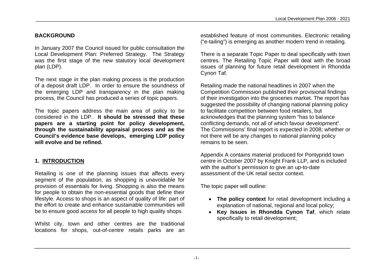#### **BACKGROUND**

In January 2007 the Council issued for public consultation the Local Development Plan: Preferred Strategy. The Strategy was the first stage of the new statutory local development plan (LDP).

The next stage in the plan making process is the production of a deposit draft LDP. In order to ensure the soundness of the emerging LDP and transparency in the plan making process, the Council has produced a series of topic papers.

The topic papers address the main area of policy to be considered in the LDP. **It should be stressed that these papers are a starting point for policy development, through the sustainability appraisal process and as the Council's evidence base develops, emerging LDP policy will evolve and be refined.**

#### **1. INTRODUCTION**

Retailing is one of the planning issues that affects every segment of the population, as shopping is unavoidable for provision of essentials for living. Shopping is also the means for people to obtain the non-essential goods that define their lifestyle. Access to shops is an aspect of quality of life: part of the effort to create and enhance sustainable communities will be to ensure good access for all people to high quality shops.

Whilst city, town and other centres are the traditional locations for shops, out-of-centre retails parks are an established feature of most communities. Electronic retailing ("e-tailing") is emerging as another modern trend in retailing.

There is a separate Topic Paper to deal specifically with town centres. The Retailing Topic Paper will deal with the broad issues of planning for future retail development in Rhondda Cynon Taf.

Retailing made the national headlines in 2007 when the Competition Commission published their provisional findings of their investigation into the groceries market. The report has suggested the possibility of changing national planning policy to facilitate competition between food retailers, but acknowledges that the planning system "has to balance conflicting demands, not all of which favour development". The Commissions' final report is expected in 2008; whether or not there will be any changes to national planning policy remains to be seen.

Appendix A contains material produced for Pontypridd town centre in October 2007 by Knight Frank LLP, and is included with the author's permission to give an up-to-date assessment of the UK retail sector context.

The topic paper will outline:

- **The policy context** for retail development including a explanation of national, regional and local policy;
- **Key Issues in Rhondda Cynon Taf**, which relate specifically to retail development;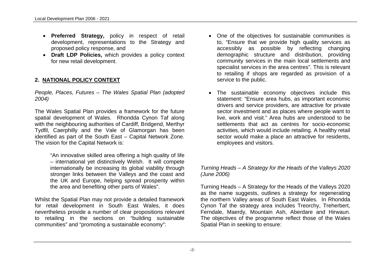- **Preferred Strategy,** policy in respect of retail development, representations to the Strategy and proposed policy response, and
- **Draft LDP Policies,** which provides a policy context for new retail development.

#### **2. NATIONAL POLICY CONTEXT**

*People, Places, Futures – The Wales Spatial Plan (adopted 2004)*

The Wales Spatial Plan provides a framework for the future spatial development of Wales. Rhondda Cynon Taf along with the neighbouring authorities of Cardiff, Bridgend, Merthyr Tydfil, Caerphilly and the Vale of Glamorgan has been identified as part of the South East – Capital Network Zone. The vision for the Capital Network is:

"An innovative skilled area offering a high quality of life – international yet distinctively Welsh. It will compete internationally be increasing its global viability through stronger links between the Valleys and the coast and the UK and Europe, helping spread prosperity within the area and benefiting other parts of Wales".

Whilst the Spatial Plan may not provide a detailed framework for retail development in South East Wales, it does nevertheless provide a number of clear propositions relevant to retailing in the sections on "building sustainable communities" and "promoting a sustainable economy":

- One of the objectives for sustainable communities is to, "Ensure that we provide high quality services as accessibly as possible by reflecting changing demographic structure and distribution, providing community services in the main local settlements and specialist services in the area centres". This is relevant to retailing if shops are regarded as provision of a service to the public.
- The sustainable economy objectives include this statement: "Ensure area hubs, as important economic drivers and service providers, are attractive for private sector investment and as places where people want to live, work and visit." Area hubs are understood to be settlements that act as centres for socio-economic activities, which would include retailing. A healthy retail sector would make a place an attractive for residents, employees and visitors.

#### *Turning Heads – A Strategy for the Heads of the Valleys 2020 (June 2006)*

Turning Heads – A Strategy for the Heads of the Valleys 2020 as the name suggests, outlines a strategy for regenerating the northern Valley areas of South East Wales. In Rhondda Cynon Taf the strategy area includes Treorchy, Treherbert, Ferndale, Maerdy, Mountain Ash, Aberdare and Hirwaun. The objectives of the programme reflect those of the Wales Spatial Plan in seeking to ensure: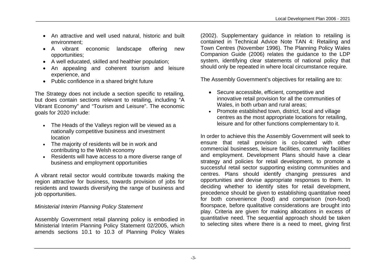- An attractive and well used natural, historic and built environment;
- A vibrant economic landscape offering new opportunities;
- A well educated, skilled and healthier population;
- An appealing and coherent tourism and leisure experience, and
- Public confidence in a shared bright future

The Strategy does not include a section specific to retailing, but does contain sections relevant to retailing, including "A Vibrant Economy" and "Tourism and Leisure". The economic goals for 2020 include:

- The Heads of the Valleys region will be viewed as a nationally competitive business and investment location
- The majority of residents will be in work and contributing to the Welsh economy
- Residents will have access to a more diverse range of business and employment opportunities

A vibrant retail sector would contribute towards making the region attractive for business, towards provision of jobs for residents and towards diversifying the range of business and job opportunities.

#### *Ministerial Interim Planning Policy Statement*

Assembly Government retail planning policy is embodied in Ministerial Interim Planning Policy Statement 02/2005, which amends sections 10.1 to 10.3 of Planning Policy Wales

(2002). Supplementary guidance in relation to retailing is contained in Technical Advice Note TAN 4: Retailing and Town Centres (November 1996). The Planning Policy Wales Companion Guide (2006) relates the guidance to the LDP system, identifying clear statements of national policy that should only be repeated in where local circumstance require.

The Assembly Government's objectives for retailing are to:

- Secure accessible, efficient, competitive and innovative retail provision for all the communities of Wales, in both urban and rural areas;
- Promote established town, district, local and village centres as the most appropriate locations for retailing, leisure and for other functions complementary to it.

In order to achieve this the Assembly Government will seek to ensure that retail provision is co-located with other commercial businesses, leisure facilities, community facilities and employment. Development Plans should have a clear strategy and policies for retail development, to promote a successful retail sector supporting existing communities and centres. Plans should identify changing pressures and opportunities and devise appropriate responses to them. In deciding whether to identify sites for retail development, precedence should be given to establishing quantitative need for both convenience (food) and comparison (non-food) floorspace, before qualitative considerations are brought into play. Criteria are given for making allocations in excess of quantitative need. The sequential approach should be taken to selecting sites where there is a need to meet, giving first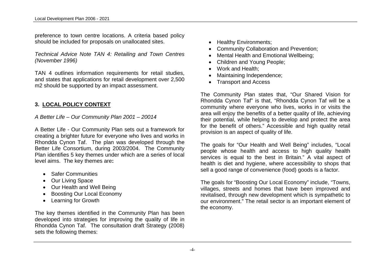preference to town centre locations. A criteria based policy should be included for proposals on unallocated sites.

*Technical Advice Note TAN 4: Retailing and Town Centres (November 1996)*

TAN 4 outlines information requirements for retail studies, and states that applications for retail development over 2,500 m2 should be supported by an impact assessment.

#### **3. LOCAL POLICY CONTEXT**

*A Better Life – Our Community Plan 2001 – 20014*

A Better Life - Our Community Plan sets out a framework for creating a brighter future for everyone who lives and works in Rhondda Cynon Taf. The plan was developed through the Better Life Consortium, during 2003/2004. The Community Plan identifies 5 key themes under which are a series of local level aims. The key themes are**:**

- Safer Communities
- Our Living Space
- Our Health and Well Being
- Boosting Our Local Economy
- Learning for Growth

The key themes identified in the Community Plan has been developed into strategies for improving the quality of life in Rhondda Cynon Taf. The consultation draft Strategy (2008) sets the following themes:

- Healthy Environments;
- Community Collaboration and Prevention;
- Mental Health and Emotional Wellbeing:
- Children and Young People;
- Work and Health:
- Maintaining Independence;
- Transport and Access

The Community Plan states that, "Our Shared Vision for Rhondda Cynon Taf" is that, "Rhondda Cynon Taf will be a community where everyone who lives, works in or visits the area will enjoy the benefits of a better quality of life, achieving their potential, while helping to develop and protect the area for the benefit of others." Accessible and high quality retail provision is an aspect of quality of life.

The goals for "Our Health and Well Being" includes, "Local people whose health and access to high quality health services is equal to the best in Britain." A vital aspect of health is diet and hygiene, where accessibility to shops that sell a good range of convenience (food) goods is a factor.

The goals for "Boosting Our Local Economy" include, "Towns, villages, streets and homes that have been improved and revitalised, through new development which is sympathetic to our environment." The retail sector is an important element of the economy.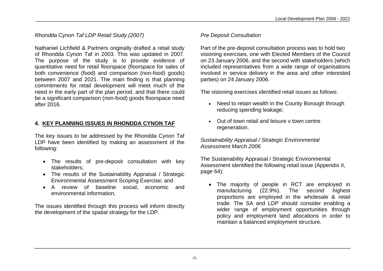*Rhondda Cynon Taf LDP Retail Study (2007)*

Nathaniel Lichfield & Partners originally drafted a retail study of Rhondda Cynon Taf in 2003. This was updated in 2007. The purpose of the study is to provide evidence of quantitative need for retail floorspace (floorspace for sales of both convenience (food) and comparison (non-food) goods) between 2007 and 2021. The main finding is that planning commitments for retail development will meet much of the need in the early part of the plan period, and that there could be a significant comparison (non-food) goods floorspace need after 2016.

#### **4. KEY PLANNING ISSUES IN RHONDDA CYNON TAF**

The key issues to be addressed by the Rhondda Cynon Taf LDP have been identified by making an assessment of the following:

- The results of pre-deposit consultation with key stakeholders;
- The results of the Sustainability Appraisal / Strategic Environmental Assessment Scoping Exercise; and
- A review of baseline social, economic and environmental information,

The issues identified through this process will inform directly the development of the spatial strategy for the LDP.

#### *Pre Deposit Consultation*

Part of the pre-deposit consultation process was to hold two visioning exercises, one with Elected Members of the Council on 23 January 2006, and the second with stakeholders (which included representatives from a wide range of organisations involved in service delivery in the area and other interested parties) on 24 January 2006.

The visioning exercises identified retail issues as follows:

- Need to retain wealth in the County Borough through reducing spending leakage;
- Out of town retail and leisure v town centre regeneration.

*Sustainability Appraisal / Strategic Environmental Assessment March 2006*

The Sustainability Appraisal / Strategic Environmental Assessment identified the following retail issue (Appendix II, page 64):

 The majority of people in RCT are employed in manufacturing (22.9%). The second highest proportions are employed in the wholesale & retail trade. The SA and LDP should consider enabling a wider range of employment opportunities through policy and employment land allocations in order to maintain a balanced employment structure.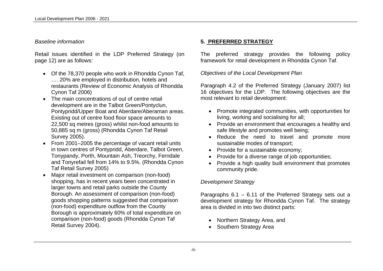#### *Baseline information*

Retail issues identified in the LDP Preferred Strategy (on page 12) are as follows:

- Of the 78,370 people who work in Rhondda Cynon Taf, …. 20% are employed in distribution, hotels and restaurants (Review of Economic Analysis of Rhondda Cynon Taf 2006)
- The main concentrations of out of centre retail development are in the Talbot Green/Pontyclun, Pontypridd/Upper Boat and Aberdare/Aberaman areas. Existing out of centre food floor space amounts to 22,500 sq metres (gross) whilst non-food amounts to 50,885 sq m (gross) (Rhondda Cynon Taf Retail Survey 2005).
- From 2001–2005 the percentage of vacant retail units in town centres of Pontypridd, Aberdare, Talbot Green, Tonypandy, Porth, Mountain Ash, Treorchy, Ferndale and Tonyrefail fell from 14% to 9.5%. (Rhondda Cynon Taf Retail Survey 2005)
- Major retail investment on comparison (non-food) shopping, has in recent years been concentrated in larger towns and retail parks outside the County Borough. An assessment of comparison (non-food) goods shopping patterns suggested that comparison (non-food) expenditure outflow from the County Borough is approximately 60% of total expenditure on comparison (non-food) goods (Rhondda Cynon Taf Retail Survey 2004).

#### **5. PREFERRED STRATEGY**

The preferred strategy provides the following policy framework for retail development in Rhondda Cynon Taf.

*Objectives of the Local Development Plan*

Paragraph 4.2 of the Preferred Strategy (January 2007) list 16 objectives for the LDP. The following objectives are the most relevant to retail development:

- Promote integrated communities, with opportunities for living, working and socialising for all;
- Provide an environment that encourages a healthy and safe lifestyle and promotes well being;
- Reduce the need to travel and promote more sustainable modes of transport;
- Provide for a sustainable economy:
- Provide for a diverse range of job opportunities:
- Provide a high quality built environment that promotes community pride.

#### *Development Strategy*

Paragraphs 6.1 – 6.11 of the Preferred Strategy sets out a development strategy for Rhondda Cynon Taf. The strategy area is divided in into two distinct parts:

- Northern Strategy Area, and
- Southern Strategy Area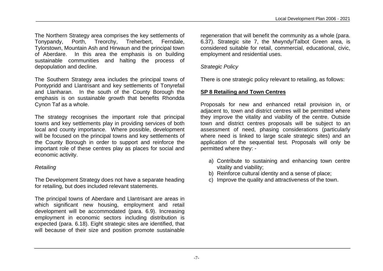The Northern Strategy area comprises the key settlements of Tonypandy, Porth, Treorchy, Treherbert, Ferndale, Tylorstown, Mountain Ash and Hirwaun and the principal town of Aberdare. In this area the emphasis is on building sustainable communities and halting the process of depopulation and decline.

The Southern Strategy area includes the principal towns of Pontypridd and Llantrisant and key settlements of Tonyrefail and Llanharan. In the south of the County Borough the emphasis is on sustainable growth that benefits Rhondda Cynon Taf as a whole.

The strategy recognises the important role that principal towns and key settlements play in providing services of both local and county importance. Where possible, development will be focused on the principal towns and key settlements of the County Borough in order to support and reinforce the important role of these centres play as places for social and economic activity.

#### *Retailing*

The Development Strategy does not have a separate heading for retailing, but does included relevant statements.

The principal towns of Aberdare and Llantrisant are areas in which significant new housing, employment and retail development will be accommodated (para. 6.9). Increasing employment in economic sectors including distribution is expected (para. 6.18). Eight strategic sites are identified, that will because of their size and position promote sustainable

regeneration that will benefit the community as a whole (para. 6.37). Strategic site 7, the Mwyndy/Talbot Green area, is considered suitable for retail, commercial, educational, civic, employment and residential uses.

#### *Strategic Policy*

There is one strategic policy relevant to retailing, as follows:

#### **SP 8 Retailing and Town Centres**

Proposals for new and enhanced retail provision in, or adjacent to, town and district centres will be permitted where they improve the vitality and viability of the centre. Outside town and district centres proposals will be subject to an assessment of need, phasing considerations (particularly where need is linked to large scale strategic sites) and an application of the sequential test. Proposals will only be permitted where they: -

- a) Contribute to sustaining and enhancing town centre vitality and viability;
- b) Reinforce cultural identity and a sense of place;
- c) Improve the quality and attractiveness of the town.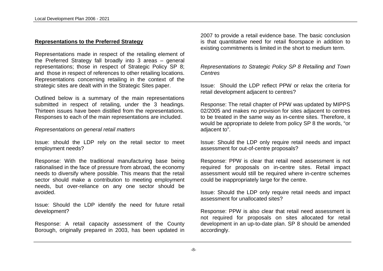#### **Representations to the Preferred Strategy**

Representations made in respect of the retailing element of the Preferred Strategy fall broadly into 3 areas – general representations; those in respect of Strategic Policy SP 8; and those in respect of references to other retailing locations. Representations concerning retailing in the context of the strategic sites are dealt with in the Strategic Sites paper.

Outlined below is a summary of the main representations submitted in respect of retailing, under the 3 headings. Thirteen issues have been distilled from the representations. Responses to each of the main representations are included.

#### *Representations on general retail matters*

Issue: should the LDP rely on the retail sector to meet employment needs?

Response: With the traditional manufacturing base being rationalised in the face of pressure from abroad, the economy needs to diversify where possible. This means that the retail sector should make a contribution to meeting employment needs, but over-reliance on any one sector should be avoided.

Issue: Should the LDP identify the need for future retail development?

Response: A retail capacity assessment of the County Borough, originally prepared in 2003, has been updated in 2007 to provide a retail evidence base. The basic conclusion is that quantitative need for retail floorspace in addition to existing commitments is limited in the short to medium term.

*Representations to Strategic Policy SP 8 Retailing and Town Centres*

Issue: Should the LDP reflect PPW or relax the criteria for retail development adjacent to centres?

Response: The retail chapter of PPW was updated by MIPPS 02/2005 and makes no provision for sites adjacent to centres to be treated in the same way as in-centre sites. Therefore, it would be appropriate to delete from policy SP 8 the words, "or adjacent to".

Issue: Should the LDP only require retail needs and impact assessment for out-of-centre proposals?

Response: PPW is clear that retail need assessment is not required for proposals on in-centre sites. Retail impact assessment would still be required where in-centre schemes could be inappropriately large for the centre.

Issue: Should the LDP only require retail needs and impact assessment for unallocated sites?

Response: PPW is also clear that retail need assessment is not required for proposals on sites allocated for retail development in an up-to-date plan. SP 8 should be amended accordingly.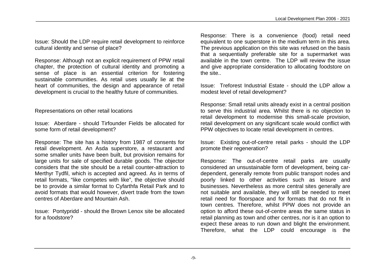Issue: Should the LDP require retail development to reinforce cultural identity and sense of place?

Response: Although not an explicit requirement of PPW retail chapter, the protection of cultural identity and promoting a sense of place is an essential criterion for fostering sustainable communities. As retail uses usually lie at the heart of communities, the design and appearance of retail development is crucial to the healthy future of communities.

#### Representations on other retail locations

Issue: Aberdare - should Tirfounder Fields be allocated for some form of retail development?

Response: The site has a history from 1987 of consents for retail development. An Asda superstore, a restaurant and some smaller units have been built, but provision remains for large units for sale of specified durable goods. The objector considers that the site should be a retail counter-attraction to Merthyr Tydfil, which is accepted and agreed. As in terms of retail formats, "like competes with like", the objective should be to provide a similar format to Cyfarthfa Retail Park and to avoid formats that would however, divert trade from the town centres of Aberdare and Mountain Ash.

Issue: Pontypridd - should the Brown Lenox site be allocated for a foodstore?

Response: There is a convenience (food) retail need equivalent to one superstore in the medium term in this area. The previous application on this site was refused on the basis that a sequentially preferable site for a supermarket was available in the town centre. The LDP will review the issue and give appropriate consideration to allocating foodstore on the site..

Issue: Treforest Industrial Estate - should the LDP allow a modest level of retail development?

Response: Small retail units already exist in a central position to serve this industrial area. Whilst there is no objection to retail development to modernise this small-scale provision, retail development on any significant scale would conflict with PPW objectives to locate retail development in centres.

Issue: Existing out-of-centre retail parks - should the LDP promote their regeneration?

Response: The out-of-centre retail parks are usually considered an unsustainable form of development, being cardependent, generally remote from public transport nodes and poorly linked to other activities such as leisure and businesses. Nevertheless as more central sites generally are not suitable and available, they will still be needed to meet retail need for floorspace and for formats that do not fit in town centres. Therefore, whilst PPW does not provide an option to afford these out-of-centre areas the same status in retail planning as town and other centres, nor is it an option to expect these areas to run down and blight the environment. Therefore, what the LDP could encourage is the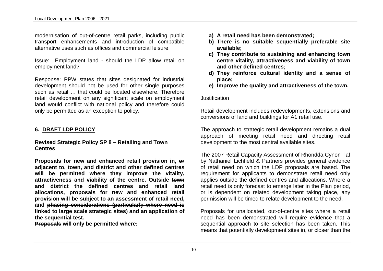modernisation of out-of-centre retail parks, including public transport enhancements and introduction of compatible alternative uses such as offices and commercial leisure.

Issue: Employment land - should the LDP allow retail on employment land?

Response: PPW states that sites designated for industrial development should not be used for other single purposes such as retail … that could be located elsewhere. Therefore retail development on any significant scale on employment land would conflict with national policy and therefore could only be permitted as an exception to policy.

#### **6. DRAFT LDP POLICY**

#### **Revised Strategic Policy SP 8 – Retailing and Town Centres**

**Proposals for new and enhanced retail provision in, or adjacent to, town, and district and other defined centres will be permitted where they improve the vitality, attractiveness and viability of the centre. Outside town and district the defined centres and retail land allocations, proposals for new and enhanced retail provision will be subject to an assessment of retail need, and phasing considerations (particularly where need is linked to large scale strategic sites) and an application of the sequential test.** 

**Proposals will only be permitted where:**

- **a) A retail need has been demonstrated;**
- **b) There is no suitable sequentially preferable site available;**
- **c) They contribute to sustaining and enhancing town centre vitality, attractiveness and viability of town and other defined centres;**
- **d) They reinforce cultural identity and a sense of place;**
- **e) Improve the quality and attractiveness of the town.**

#### Justification

Retail development includes redevelopments, extensions and conversions of land and buildings for A1 retail use.

The approach to strategic retail development remains a dual approach of meeting retail need and directing retail development to the most central available sites.

The 2007 Retail Capacity Assessment of Rhondda Cynon Taf by Nathaniel Lichfield & Partners provides general evidence of retail need on which the LDP proposals are based. The requirement for applicants to demonstrate retail need only applies outside the defined centres and allocations. Where a retail need is only forecast to emerge later in the Plan period, or is dependent on related development taking place, any permission will be timed to relate development to the need.

Proposals for unallocated, out-of-centre sites where a retail need has been demonstrated will require evidence that a sequential approach to site selection has been taken. This means that potentially development sites in, or closer than the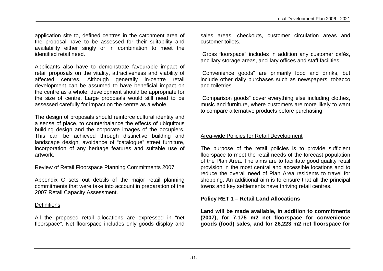application site to, defined centres in the catchment area of the proposal have to be assessed for their suitability and availability either singly or in combination to meet the identified retail need.

Applicants also have to demonstrate favourable impact of retail proposals on the vitality**,** attractiveness and viability of affected centres. Although generally in-centre retail development can be assumed to have beneficial impact on the centre as a whole, development should be appropriate for the size of centre. Large proposals would still need to be assessed carefully for impact on the centre as a whole.

The design of proposals should reinforce cultural identity and a sense of place, to counterbalance the effects of ubiquitous building design and the corporate images of the occupiers. This can be achieved through distinctive building and landscape design, avoidance of "catalogue" street furniture, incorporation of any heritage features and suitable use of artwork.

#### Review of Retail Floorspace Planning Commitments 2007

Appendix C sets out details of the major retail planning commitments that were take into account in preparation of the 2007 Retail Capacity Assessment.

#### **Definitions**

All the proposed retail allocations are expressed in "net floorspace". Net floorspace includes only goods display and

sales areas, checkouts, customer circulation areas and customer toilets.

"Gross floorspace" includes in addition any customer cafés, ancillary storage areas, ancillary offices and staff facilities.

"Convenience goods" are primarily food and drinks, but include other daily purchases such as newspapers, tobacco and toiletries.

"Comparison goods" cover everything else including clothes, music and furniture, where customers are more likely to want to compare alternative products before purchasing.

#### Area-wide Policies for Retail Development

The purpose of the retail policies is to provide sufficient floorspace to meet the retail needs of the forecast population of the Plan Area. The aims are to facilitate good quality retail provision in the most central and accessible locations and to reduce the overall need of Plan Area residents to travel for shopping. An additional aim is to ensure that all the principal towns and key settlements have thriving retail centres.

#### **Policy RET 1 – Retail Land Allocations**

**Land will be made available, in addition to commitments (2007), for 7,175 m2 net floorspace for convenience goods (food) sales, and for 26,223 m2 net floorspace for**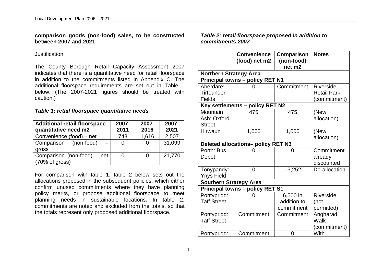#### **comparison goods (non-food) sales, to be constructed between 2007 and 2021.**

#### Justification

The County Borough Retail Capacity Assessment 2007 indicates that there is a quantitative need for retail floorspace in addition to the commitments listed in Appendix C. The additional floorspace requirements are set out in Table 1 below. (The 2007-2021 figures should be treated with caution.)

#### *Table 1: retail floorspace quantitative needs*

| <b>Additional retail floorspace</b><br>quantitative need m2 | 2007-<br>2011 | 2007-<br>2016 | 2007-<br>2021 |
|-------------------------------------------------------------|---------------|---------------|---------------|
| Convenience (food) – net                                    | 748           | 1,616         | 2,507         |
| Comparison (non-food)                                       |               | 0             | 31,099        |
| gross                                                       |               |               |               |
| Comparison (non-food) – net                                 |               | 0             | 21,770        |
| (70% of gross)                                              |               |               |               |

For comparison with table 1, table 2 below sets out the allocations proposed in the subsequent policies, which either confirm unused commitments where they have planning policy merits, or propose additional floorspace to meet planning needs in sustainable locations. In table 2, commitments are noted and excluded from the totals, so that the totals represent only proposed additional floorspace.

#### *Table 2: retail floorspace proposed in addition to commitments 2007*

|                               | <b>Convenience</b>                     | <b>Comparison</b> | <b>Notes</b>       |
|-------------------------------|----------------------------------------|-------------------|--------------------|
|                               | (food) net m2                          | (non-food)        |                    |
|                               |                                        | net m2            |                    |
| <b>Northern Strategy Area</b> |                                        |                   |                    |
|                               | <b>Principal towns - policy RET N1</b> |                   |                    |
| Aberdare:                     |                                        | Commitment        | Riverside          |
| <b>Tirfounder</b>             |                                        |                   | <b>Retail Park</b> |
| <b>Fields</b>                 |                                        |                   | (commitment)       |
|                               | Key settlements - policy RET N2        |                   |                    |
| Mountain                      | 475                                    | 475               | (New               |
| Ash: Oxford                   |                                        |                   | allocation)        |
| <b>Street</b>                 |                                        |                   |                    |
| Hirwaun                       | 1,000                                  | 1,000             | (New               |
|                               |                                        |                   | allocation)        |
|                               | Deleted allocations- policy RET N3     |                   |                    |
| Porth: Bus                    |                                        | 0                 | Commitment         |
| Depot                         |                                        |                   | already            |
|                               |                                        |                   | discounted         |
| Tonypandy:                    | 0                                      | $-3,252$          | De-allocation      |
| <b>Ynys Field</b>             |                                        |                   |                    |
| <b>Southern Strategy Area</b> |                                        |                   |                    |
|                               | <b>Principal towns - policy RET S1</b> |                   |                    |
| Pontypridd:                   | 0                                      | 6,500 in          | Riverside          |
| <b>Taff Street</b>            |                                        | addition to       | (not               |
|                               |                                        | commitment        | permitted)         |
| Pontypridd:                   | Commitment                             | Commitment        | Angharad           |
| <b>Taff Street</b>            |                                        |                   | Walk               |
|                               |                                        |                   | (commitment)       |
| Pontypridd:                   | Commitment                             | 0                 | With               |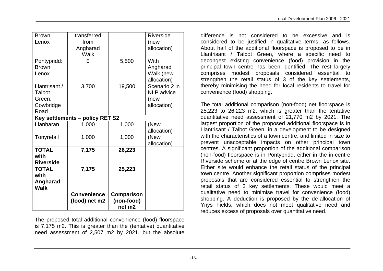| <b>Brown</b>     | transferred                     |                                  | Riverside         |
|------------------|---------------------------------|----------------------------------|-------------------|
| Lenox            | from                            |                                  | (new              |
|                  | Angharad<br>Walk                |                                  | allocation)       |
| Pontypridd:      |                                 | 5,500                            | With              |
| <b>Brown</b>     |                                 |                                  | Angharad          |
| Lenox            |                                 |                                  | Walk (new         |
|                  |                                 |                                  | allocation)       |
| Llantrisant /    | 3,700                           | 19,500                           | Scenario 2 in     |
| Talbot           |                                 |                                  | <b>NLP</b> advice |
| Green:           |                                 |                                  | (new              |
| Cowbridge        |                                 |                                  | allocation)       |
| Road             |                                 |                                  |                   |
|                  | Key settlements - policy RET S2 |                                  |                   |
| Llanharan        | 1,000                           | 1,000                            | (New              |
|                  |                                 |                                  | allocation)       |
| Tonyrefail       | 1,000                           | 1,000                            | (New              |
|                  |                                 |                                  | allocation)       |
| <b>TOTAL</b>     | 7,175                           | 26,223                           |                   |
| with             |                                 |                                  |                   |
| <b>Riverside</b> |                                 |                                  |                   |
| <b>TOTAL</b>     | 7,175                           | 25,223                           |                   |
| with             |                                 |                                  |                   |
| Angharad         |                                 |                                  |                   |
| <b>Walk</b>      |                                 |                                  |                   |
|                  | <b>Convenience</b>              | Comparison                       |                   |
|                  | (food) net m2                   | (non-food)<br>net m <sub>2</sub> |                   |

The proposed total additional convenience (food) floorspace is 7,175 m2. This is greater than the (tentative) quantitative need assessment of 2,507 m2 by 2021, but the absolute difference is not considered to be excessive and is considered to be justified in qualitative terms, as follows. About half of the additional floorspace is proposed to be in Llantrisant / Talbot Green, where a specific need to decongest existing convenience (food) provision in the principal town centre has been identified. The rest largely comprises modest proposals considered essential to strengthen the retail status of 3 of the key settlements, thereby minimising the need for local residents to travel for convenience (food) shopping.

The total additional comparison (non-food) net floorspace is 25,223 to 26,223 m2, which is greater than the tentative quantitative need assessment of 21,770 m2 by 2021. The largest proportion of the proposed additional floorspace is in Llantrisant / Talbot Green, in a development to be designed with the characteristics of a town centre, and limited in size to prevent unacceptable impacts on other principal town centres. A significant proportion of the additional comparison (non-food) floorspace is in Pontypridd, either in the in-centre Riverside scheme or at the edge of centre Brown Lenox site. Either site would enhance the retail status of the principal town centre. Another significant proportion comprises modest proposals that are considered essential to strengthen the retail status of 3 key settlements. These would meet a qualitative need to minimise travel for convenience (food) shopping. A deduction is proposed by the de-allocation of Ynys Fields, which does not meet qualitative need and reduces excess of proposals over quantitative need.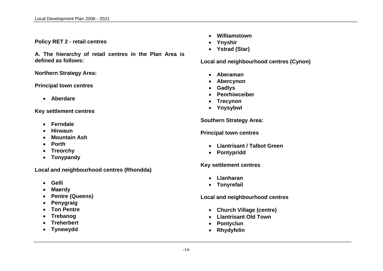#### **Policy RET 2 - retail centres**

**A. The hierarchy of retail centres in the Plan Area is defined as follows:** 

**Northern Strategy Area:** 

#### **Principal town centres**

**Aberdare**

**Key settlement centres**

- **Ferndale**
- **Hirwaun**
- **Mountain Ash**
- **Porth**
- **Treorchy**
- **Tonypandy**

**Local and neighbourhood centres (Rhondda)**

- **Gelli**
- **Maerdy**
- **Pentre (Queens)**
- **Penygraig**
- **Ton Pentre**
- **Trebanog**
- **Treherbert**
- **Tynewydd**
- **Williamstown**
- **Ynyshir**
- **Ystrad (Star)**

**Local and neighbourhood centres (Cynon)**

- **Aberaman**
- **Abercynon**
- **Gadlys**
- **Penrhiwceiber**
- **Trecynon**
- **Ynysybwl**

**Southern Strategy Area:**

**Principal town centres**

- **Llantrisant / Talbot Green**
- **Pontypridd**

**Key settlement centres**

- **Llanharan**
- **Tonyrefail**

**Local and neighbourhood centres** 

- **Church Village (centre)**
- **Llantrisant Old Town**
- **Pontyclun**
- **Rhydyfelin**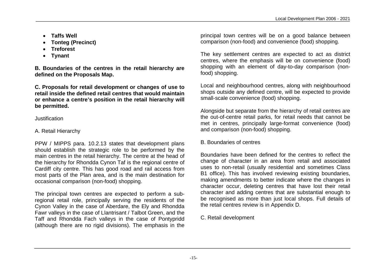- **Taffs Well**
- **Tonteg (Precinct)**
- **Treforest**
- **Tynant**

**B. Boundaries of the centres in the retail hierarchy are defined on the Proposals Map.**

**C. Proposals for retail development or changes of use to retail inside the defined retail centres that would maintain or enhance a centre's position in the retail hierarchy will be permitted.** 

#### Justification

#### A. Retail Hierarchy

PPW / MIPPS para. 10.2.13 states that development plans should establish the strategic role to be performed by the main centres in the retail hierarchy. The centre at the head of the hierarchy for Rhondda Cynon Taf is the regional centre of Cardiff city centre. This has good road and rail access from most parts of the Plan area, and is the main destination for occasional comparison (non-food) shopping.

The principal town centres are expected to perform a subregional retail role, principally serving the residents of the Cynon Valley in the case of Aberdare, the Ely and Rhondda Fawr valleys in the case of Llantrisant / Talbot Green, and the Taff and Rhondda Fach valleys in the case of Pontypridd (although there are no rigid divisions). The emphasis in the principal town centres will be on a good balance between comparison (non-food) and convenience (food) shopping.

The key settlement centres are expected to act as district centres, where the emphasis will be on convenience (food) shopping with an element of day-to-day comparison (nonfood) shopping.

Local and neighbourhood centres, along with neighbourhood shops outside any defined centre, will be expected to provide small-scale convenience (food) shopping.

Alongside but separate from the hierarchy of retail centres are the out-of-centre retail parks, for retail needs that cannot be met in centres, principally large-format convenience (food) and comparison (non-food) shopping.

#### B. Boundaries of centres

Boundaries have been defined for the centres to reflect the change of character in an area from retail and associated uses to non-retail (usually residential and sometimes Class B1 office). This has involved reviewing existing boundaries, making amendments to better indicate where the changes in character occur, deleting centres that have lost their retail character and adding centres that are substantial enough to be recognised as more than just local shops. Full details of the retail centres review is in Appendix D.

C. Retail development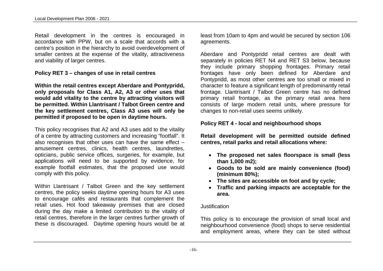Retail development in the centres is encouraged in accordance with PPW, but on a scale that accords with a centre's position in the hierarchy to avoid overdevelopment of smaller centres at the expense of the vitality, attractiveness and viability of larger centres.

**Policy RET 3 – changes of use in retail centres**

**Within the retail centres except Aberdare and Pontypridd, only proposals for Class A1, A2, A3 or other uses that would add vitality to the centre by attracting visitors will be permitted. Within Llantrisant / Talbot Green centre and the key settlement centres, Class A3 uses will only be permitted if proposed to be open in daytime hours.**

This policy recognises that A2 and A3 uses add to the vitality of a centre by attracting customers and increasing "footfall". It also recognises that other uses can have the same effect  $$ amusement centres, clinics, health centres, laundrettes, opticians, public service offices, surgeries, for example, but applications will need to be supported by evidence, for example footfall estimates, that the proposed use would comply with this policy.

Within Llantrisant / Talbot Green and the key settlement centres, the policy seeks daytime opening hours for A3 uses to encourage cafés and restaurants that complement the retail uses. Hot food takeaway premises that are closed during the day make a limited contribution to the vitality of retail centres, therefore in the larger centres further growth of these is discouraged. Daytime opening hours would be at

least from 10am to 4pm and would be secured by section 106 agreements.

Aberdare and Pontypridd retail centres are dealt with separately in policies RET N4 and RET S3 below, because they include primary shopping frontages. Primary retail frontages have only been defined for Aberdare and Pontypridd, as most other centres are too small or mixed in character to feature a significant length of predominantly retail frontage. Llantrisant / Talbot Green centre has no defined primary retail frontage, as the primary retail area here consists of large modern retail units, where pressure for changes to non-retail uses seems unlikely.

#### **Policy RET 4 - local and neighbourhood shops**

**Retail development will be permitted outside defined centres, retail parks and retail allocations where:**

- **The proposed net sales floorspace is small (less than 1,000 m2);**
- **Goods to be sold are mainly convenience (food) (minimum 80%);**
- **The sites are accessible on foot and by cycle;**
- **Traffic and parking impacts are acceptable for the area.**

#### **Justification**

This policy is to encourage the provision of small local and neighbourhood convenience (food) shops to serve residential and employment areas, where they can be sited without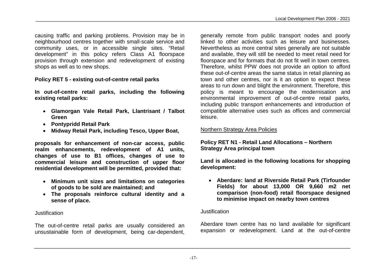causing traffic and parking problems. Provision may be in neighbourhood centres together with small-scale service and community uses, or in accessible single sites. "Retail development" in this policy refers Class A1 floorspace provision through extension and redevelopment of existing shops as well as to new shops.

#### **Policy RET 5 - existing out-of-centre retail parks**

**In out-of-centre retail parks, including the following existing retail parks:**

- **Glamorgan Vale Retail Park, Llantrisant / Talbot Green**
- **Pontypridd Retail Park**
- **Midway Retail Park, including Tesco, Upper Boat,**

**proposals for enhancement of non-car access, public realm enhancements, redevelopment of A1 units, changes of use to B1 offices, changes of use to commercial leisure and construction of upper floor residential development will be permitted, provided that:**

- **Minimum unit sizes and limitations on categories of goods to be sold are maintained; and**
- **The proposals reinforce cultural identity and a sense of place.**

#### Justification

The out-of-centre retail parks are usually considered an unsustainable form of development, being car-dependent,

generally remote from public transport nodes and poorly linked to other activities such as leisure and businesses. Nevertheless as more central sites generally are not suitable and available, they will still be needed to meet retail need for floorspace and for formats that do not fit well in town centres. Therefore, whilst PPW does not provide an option to afford these out-of-centre areas the same status in retail planning as town and other centres, nor is it an option to expect these areas to run down and blight the environment. Therefore, this policy is meant to encourage the modernisation and environmental improvement of out-of-centre retail parks, including public transport enhancements and introduction of compatible alternative uses such as offices and commercial leisure.

#### Northern Strategy Area Policies

#### **Policy RET N1 - Retail Land Allocations – Northern Strategy Area principal town**

**Land is allocated in the following locations for shopping development:**

 **Aberdare: land at Riverside Retail Park (Tirfounder Fields) for about 13,000 OR 9,660 m2 net comparison (non-food) retail floorspace designed to minimise impact on nearby town centres**

#### **Justification**

Aberdare town centre has no land available for significant expansion or redevelopment. Land at the out-of-centre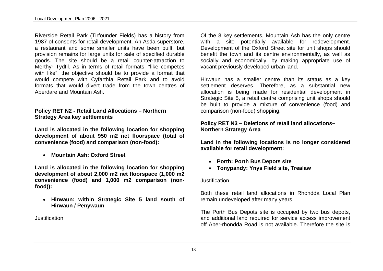Riverside Retail Park (Tirfounder Fields) has a history from 1987 of consents for retail development. An Asda superstore, a restaurant and some smaller units have been built, but provision remains for large units for sale of specified durable goods. The site should be a retail counter-attraction to Merthyr Tydfil. As in terms of retail formats, "like competes with like", the objective should be to provide a format that would compete with Cyfarthfa Retail Park and to avoid formats that would divert trade from the town centres of Aberdare and Mountain Ash.

#### **Policy RET N2 - Retail Land Allocations – Northern Strategy Area key settlements**

**Land is allocated in the following location for shopping development of about 950 m2 net floorspace (total of convenience (food) and comparison (non-food):**

**Mountain Ash: Oxford Street**

**Land is allocated in the following location for shopping development of about 2,000 m2 net floorspace (1,000 m2 convenience (food) and 1,000 m2 comparison (nonfood)):**

 **Hirwaun: within Strategic Site 5 land south of Hirwaun / Penywaun**

Justification

Of the 8 key settlements, Mountain Ash has the only centre with a site potentially available for redevelopment. Development of the Oxford Street site for unit shops should benefit the town and its centre environmentally, as well as socially and economically, by making appropriate use of vacant previously developed urban land.

Hirwaun has a smaller centre than its status as a key settlement deserves. Therefore, as a substantial new allocation is being made for residential development in Strategic Site 5, a retail centre comprising unit shops should be built to provide a mixture of convenience (food) and comparison (non-food) shopping.

#### **Policy RET N3 – Deletions of retail land allocations– Northern Strategy Area**

**Land in the following locations is no longer considered available for retail development:**

- **Porth: Porth Bus Depots site**
- **Tonypandy: Ynys Field site, Trealaw**

#### Justification

Both these retail land allocations in Rhondda Local Plan remain undeveloped after many years.

The Porth Bus Depots site is occupied by two bus depots, and additional land required for service access improvement off Aber-rhondda Road is not available. Therefore the site is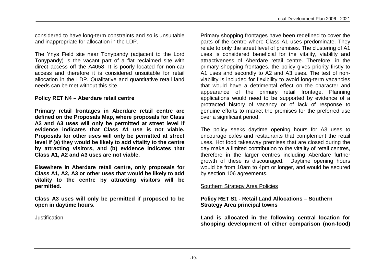considered to have long-term constraints and so is unsuitable and inappropriate for allocation in the LDP.

The Ynys Field site near Tonypandy (adjacent to the Lord Tonypandy) is the vacant part of a flat reclaimed site with direct access off the A4058. It is poorly located for non-car access and therefore it is considered unsuitable for retail allocation in the LDP. Qualitative and quantitative retail land needs can be met without this site.

#### **Policy RET N4 – Aberdare retail centre**

**Primary retail frontages in Aberdare retail centre are defined on the Proposals Map, where proposals for Class A2 and A3 uses will only be permitted at street level if evidence indicates that Class A1 use is not viable. Proposals for other uses will only be permitted at street level if (a) they would be likely to add vitality to the centre by attracting visitors, and (b) evidence indicates that Class A1, A2 and A3 uses are not viable.**

**Elsewhere in Aberdare retail centre, only proposals for Class A1, A2, A3 or other uses that would be likely to add vitality to the centre by attracting visitors will be permitted.** 

**Class A3 uses will only be permitted if proposed to be open in daytime hours.**

Justification

Primary shopping frontages have been redefined to cover the parts of the centre where Class A1 uses predominate. They relate to only the street level of premises. The clustering of A1 uses is considered beneficial for the vitality, viability and attractiveness of Aberdare retail centre. Therefore, in the primary shopping frontages, the policy gives priority firstly to A1 uses and secondly to A2 and A3 uses. The test of nonviability is included for flexibility to avoid long-term vacancies that would have a detrimental effect on the character and appearance of the primary retail frontage. Planning applications would need to be supported by evidence of a protracted history of vacancy or of lack of response to genuine efforts to market the premises for the preferred use over a significant period.

The policy seeks daytime opening hours for A3 uses to encourage cafés and restaurants that complement the retail uses. Hot food takeaway premises that are closed during the day make a limited contribution to the vitality of retail centres, therefore in the larger centres including Aberdare further growth of these is discouraged. Daytime opening hours would be from 10am to 4pm or longer, and would be secured by section 106 agreements.

#### Southern Strategy Area Policies

#### **Policy RET S1 - Retail Land Allocations – Southern Strategy Area principal towns**

**Land is allocated in the following central location for shopping development of either comparison (non-food)**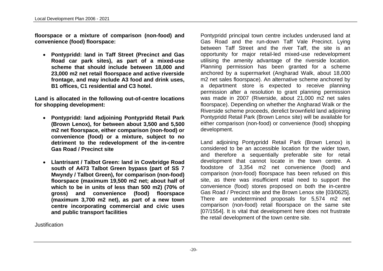**floorspace or a mixture of comparison (non-food) and convenience (food) floorspace:**

 **Pontypridd: land in Taff Street (Precinct and Gas Road car park sites), as part of a mixed-use scheme that should include between 18,000 and 23,000 m2 net retail floorspace and active riverside frontage, and may include A3 food and drink uses, B1 offices, C1 residential and C3 hotel.**

**Land is allocated in the following out-of-centre locations for shopping development:**

- **Pontypridd: land adjoining Pontypridd Retail Park (Brown Lenox), for between about 3,500 and 5,500 m2 net floorspace, either comparison (non-food) or convenience (food) or a mixture, subject to no detriment to the redevelopment of the in-centre Gas Road / Precinct site**
- **Llantrisant / Talbot Green: land in Cowbridge Road south of A473 Talbot Green bypass (part of SS 7 Mwyndy / Talbot Green), for comparison (non-food) floorspace (maximum 19,500 m2 net; about half of which to be in units of less than 500 m2) (70% of gross) and convenience (food) floorspace (maximum 3,700 m2 net), as part of a new town centre incorporating commercial and civic uses and public transport facilities**

**Justification** 

Pontypridd principal town centre includes underused land at Gas Road and the run-down Taff Vale Precinct. Lying between Taff Street and the river Taff, the site is an opportunity for major retail-led mixed-use redevelopment utilising the amenity advantage of the riverside location. Planning permission has been granted for a scheme anchored by a supermarket (Angharad Walk, about 18,000 m2 net sales floorspace). An alternative scheme anchored by a department store is expected to receive planning permission after a resolution to grant planning permission was made in 2007 (Riverside, about 21,000 m2 net sales floorspace). Depending on whether the Angharad Walk or the Riverside scheme proceeds, derelict brownfield land adjoining Pontypridd Retail Park (Brown Lenox site) will be available for either comparison (non-food) or convenience (food) shopping development.

Land adjoining Pontypridd Retail Park (Brown Lenox) is considered to be an accessible location for the wider town, and therefore a sequentially preferable site for retail development that cannot locate in the town centre. A foodstore of 3,354 m2 net convenience (food) and comparison (non-food) floorspace has been refused on this site, as there was insufficient retail need to support the convenience (food) stores proposed on both the in-centre Gas Road / Precinct site and the Brown Lenox site [03/0625]. There are undetermined proposals for 5,574 m2 net comparison (non-food) retail floorspace on the same site [07/1554]. It is vital that development here does not frustrate the retail development of the town centre site.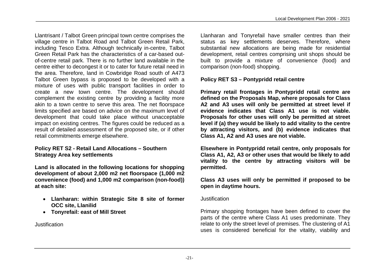Llantrisant / Talbot Green principal town centre comprises the village centre in Talbot Road and Talbot Green Retail Park, including Tesco Extra. Although technically in-centre, Talbot Green Retail Park has the characteristics of a car-based outof-centre retail park. There is no further land available in the centre either to decongest it or to cater for future retail need in the area. Therefore, land in Cowbridge Road south of A473 Talbot Green bypass is proposed to be developed with a mixture of uses with public transport facilities in order to create a new town centre. The development should complement the existing centre by providing a facility more akin to a town centre to serve this area. The net floorspace limits specified are based on advice on the maximum level of development that could take place without unacceptable impact on existing centres. The figures could be reduced as a result of detailed assessment of the proposed site, or if other retail commitments emerge elsewhere.

#### **Policy RET S2 - Retail Land Allocations – Southern Strategy Area key settlements**

**Land is allocated in the following locations for shopping development of about 2,000 m2 net floorspace (1,000 m2 convenience (food) and 1,000 m2 comparison (non-food)) at each site:**

- **Llanharan: within Strategic Site 8 site of former OCC site, Llanilid**
- **Tonyrefail: east of Mill Street**

Justification

Llanharan and Tonyrefail have smaller centres than their status as key settlements deserves. Therefore, where substantial new allocations are being made for residential development, retail centres comprising unit shops should be built to provide a mixture of convenience (food) and comparison (non-food) shopping.

#### **Policy RET S3 – Pontypridd retail centre**

**Primary retail frontages in Pontypridd retail centre are defined on the Proposals Map, where proposals for Class A2 and A3 uses will only be permitted at street level if evidence indicates that Class A1 use is not viable. Proposals for other uses will only be permitted at street level if (a) they would be likely to add vitality to the centre by attracting visitors, and (b) evidence indicates that Class A1, A2 and A3 uses are not viable.**

**Elsewhere in Pontypridd retail centre, only proposals for Class A1, A2, A3 or other uses that would be likely to add vitality to the centre by attracting visitors will be permitted.** 

**Class A3 uses will only be permitted if proposed to be open in daytime hours.**

#### Justification

Primary shopping frontages have been defined to cover the parts of the centre where Class A1 uses predominate. They relate to only the street level of premises. The clustering of A1 uses is considered beneficial for the vitality, viability and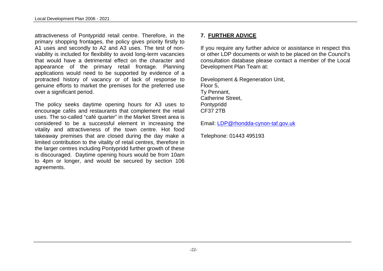attractiveness of Pontypridd retail centre. Therefore, in the primary shopping frontages, the policy gives priority firstly to A1 uses and secondly to A2 and A3 uses. The test of nonviability is included for flexibility to avoid long-term vacancies that would have a detrimental effect on the character and appearance of the primary retail frontage. Planning applications would need to be supported by evidence of a protracted history of vacancy or of lack of response to genuine efforts to market the premises for the preferred use over a significant period.

The policy seeks daytime opening hours for A3 uses to encourage cafés and restaurants that complement the retail uses. The so-called "café quarter" in the Market Street area is considered to be a successful element in increasing the vitality and attractiveness of the town centre. Hot food takeaway premises that are closed during the day make a limited contribution to the vitality of retail centres, therefore in the larger centres including Pontypridd further growth of these is discouraged. Daytime opening hours would be from 10am to 4pm or longer, and would be secured by section 106 agreements.

#### **7. FURTHER ADVICE**

If you require any further advice or assistance in respect this or other LDP documents or wish to be placed on the Council's consultation database please contact a member of the Local Development Plan Team at:

Development & Regeneration Unit, Floor 5, Ty Pennant, Catherine Street, Pontypridd CF37 2TB

Email: LDP@rhondda-cynon-taf.gov.uk

Telephone: 01443 495193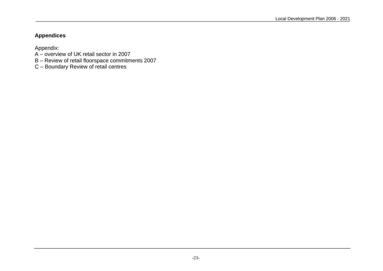#### **Appendices**

Appendix:

- A overview of UK retail sector in 2007
- B Review of retail floorspace commitments 2007
- C Boundary Review of retail centres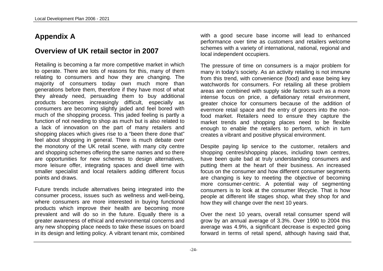### **Appendix A**

### **Overview of UK retail sector in 2007**

Retailing is becoming a far more competitive market in which to operate. There are lots of reasons for this, many of them relating to consumers and how they are changing. The majority of consumers today own much more than generations before them, therefore if they have most of what they already need, persuading them to buy additional products becomes increasingly difficult, especially as consumers are becoming slightly jaded and feel bored with much of the shopping process. This jaded feeling is partly a function of not needing to shop as much but is also related to a lack of innovation on the part of many retailers and shopping places which gives rise to a "been there done that" feel about shopping in general. There is much debate over the monotony of the UK retail scene, with many city centre and shopping schemes offering the same names and so there are opportunities for new schemes to design alternatives, more leisure offer, integrating spaces and dwell time with smaller specialist and local retailers adding different focus points and draws.

Future trends include alternatives being integrated into the consumer process, issues such as wellness and well-being, where consumers are more interested in buying functional products which improve their health are becoming more prevalent and will do so in the future. Equally there is a greater awareness of ethical and environmental concerns and any new shopping place needs to take these issues on board in its design and letting policy. A vibrant tenant mix, combined with a good secure base income will lead to enhanced performance over time as customers and retailers welcome schemes with a variety of international, national, regional and local independent occupiers.

The pressure of time on consumers is a major problem for many in today's society. As an activity retailing is not immune from this trend, with convenience (food) and ease being key watchwords for consumers. For retailing all these problem areas are combined with supply side factors such as a more intense focus on price, a deflationary retail environment, greater choice for consumers because of the addition of evermore retail space and the entry of grocers into the nonfood market. Retailers need to ensure they capture the market trends and shopping places need to be flexible enough to enable the retailers to perform, which in turn creates a vibrant and positive physical environment.

Despite paying lip service to the customer, retailers and shopping centres/shopping places, including town centres, have been quite bad at truly understanding consumers and putting them at the heart of their business. An increased focus on the consumer and how different consumer segments are changing is key to meeting the objective of becoming more consumer-centric. A potential way of segmenting consumers is to look at the consumer lifecycle. That is how people at different life stages shop, what they shop for and how they will change over the next 10 years.

Over the next 10 years, overall retail consumer spend will grow by an annual average of 3.3%. Over 1990 to 2004 this average was 4.9%, a significant decrease is expected going forward in terms of retail spend, although having said that,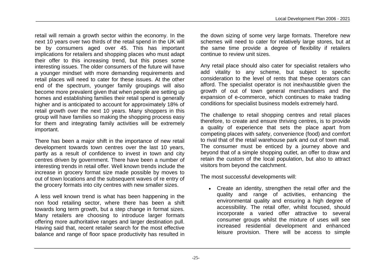retail will remain a growth sector within the economy. In the next 10 years over two thirds of the retail spend in the UK will be by consumers aged over 45. This has important implications for retailers and shopping places who must adapt their offer to this increasing trend, but this poses some interesting issues. The older consumers of the future will have a younger mindset with more demanding requirements and retail places will need to cater for these issues. At the other end of the spectrum, younger family groupings will also become more prevalent given that when people are setting up homes and establishing families their retail spend is generally higher and is anticipated to account for approximately 18% of retail growth over the next 10 years. Many shoppers in this group will have families so making the shopping process easy for them and integrating family activities will be extremely important.

There has been a major shift in the importance of new retail development towards town centres over the last 10 years, partly as a result of confidence to invest in town and city centres driven by government. There have been a number of interesting trends in retail offer. Well known trends include the increase in grocery format size made possible by moves to out of town locations and the subsequent waves of re entry of the grocery formats into city centres with new smaller sizes.

A less well known trend is what has been happening in the non food retailing sector, where there has been a shift towards long term growth, but a step change in format sizes. Many retailers are choosing to introduce larger formats offering more authoritative ranges and larger destination pull. Having said that, recent retailer search for the most effective balance and range of floor space productivity has resulted in

the down sizing of some very large formats. Therefore new schemes will need to cater for relatively large stores, but at the same time provide a degree of flexibility if retailers continue to review unit sizes.

Any retail place should also cater for specialist retailers who add vitality to any scheme, but subject to specific consideration to the level of rents that these operators can afford. The specialist operator is not inexhaustible given the growth of out of town general merchandisers and the expansion of e-commerce, which continues to make trading conditions for specialist business models extremely hard.

The challenge to retail shopping centres and retail places therefore, to create and ensure thriving centres, is to provide a quality of experience that sets the place apart from competing places with safety, convenience (food) and comfort to rival that of the retail warehouse park and out of town mall. The consumer must be enticed by a journey above and beyond that of a simple shopping outlet, an offer to draw and retain the custom of the local population, but also to attract visitors from beyond the catchment.

The most successful developments will:

 Create an identity, strengthen the retail offer and the quality and range of activities, enhancing the environmental quality and ensuring a high degree of accessibility. The retail offer, whilst focused, should incorporate a varied offer attractive to several consumer groups whilst the mixture of uses will see increased residential development and enhanced leisure provision. There will be access to simple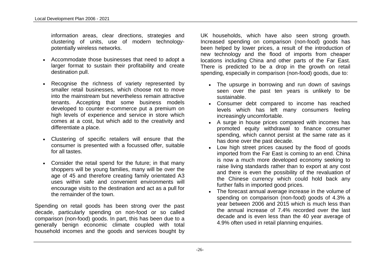information areas, clear directions, strategies and clustering of units, use of modern technologypotentially wireless networks.

- Accommodate those businesses that need to adopt a larger format to sustain their profitability and create destination pull.
- Recognise the richness of variety represented by smaller retail businesses, which choose not to move into the mainstream but nevertheless remain attractive tenants. Accepting that some business models developed to counter e-commerce put a premium on high levels of experience and service in store which comes at a cost, but which add to the creativity and differentiate a place.
- Clustering of specific retailers will ensure that the consumer is presented with a focussed offer, suitable for all tastes.
- Consider the retail spend for the future; in that many shoppers will be young families, many will be over the age of 45 and therefore creating family orientated A3 uses within safe and convenient environments will encourage visits to the destination and act as a pull for the remainder of the town.

Spending on retail goods has been strong over the past decade, particularly spending on non-food or so called comparison (non-food) goods. In part, this has been due to a generally benign economic climate coupled with total household incomes and the goods and services bought by

UK households, which have also seen strong growth. Increased spending on comparison (non-food) goods has been helped by lower prices, a result of the introduction of new technology and the flood of imports from cheaper locations including China and other parts of the Far East. There is predicted to be a drop in the growth on retail spending, especially in comparison (non-food) goods, due to:

- The upsurge in borrowing and run down of savings seen over the past ten years is unlikely to be sustainable.
- Consumer debt compared to income has reached levels which has left many consumers feeling increasingly uncomfortable.
- A surge in house prices compared with incomes has promoted equity withdrawal to finance consumer spending, which cannot persist at the same rate as it has done over the past decade.
- Low high street prices caused by the flood of goods imported from the Far East is coming to an end. China is now a much more developed economy seeking to raise living standards rather than to export at any cost and there is even the possibility of the revaluation of the Chinese currency which could hold back any further falls in imported good prices.
- The forecast annual average increase in the volume of spending on comparison (non-food) goods of 4.3% a year between 2006 and 2015 which is much less than the annual increase of 7.4% recorded over the last decade and is even less than the 40 year average of 4.9% often used in retail planning enquiries.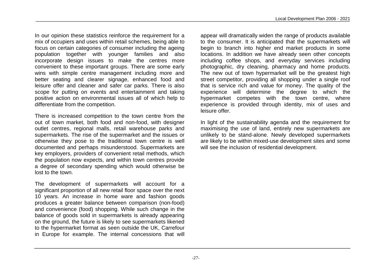In our opinion these statistics reinforce the requirement for a mix of occupiers and uses within retail schemes, being able to focus on certain categories of consumer including the ageing population together with younger families and also incorporate design issues to make the centres more convenient to these important groups. There are some early wins with simple centre management including more and better seating and clearer signage, enhanced food and leisure offer and cleaner and safer car parks. There is also scope for putting on events and entertainment and taking positive action on environmental issues all of which help to differentiate from the competition.

There is increased competition to the town centre from the out of town market, both food and non-food, with designer outlet centres, regional malls, retail warehouse parks and supermarkets. The rise of the supermarket and the issues or otherwise they pose to the traditional town centre is well documented and perhaps misunderstood. Supermarkets are key employers, providers of convenient retail methods, which the population now expects, and within town centres provide a degree of secondary spending which would otherwise be lost to the town.

The development of supermarkets will account for a significant proportion of all new retail floor space over the next 10 years. An increase in home ware and fashion goods produces a greater balance between comparison (non-food) and convenience (food) shopping. While such change in the balance of goods sold in supermarkets is already appearing on the ground, the future is likely to see supermarkets likened to the hypermarket format as seen outside the UK, Carrefour in Europe for example. The internal concessions that will

appear will dramatically widen the range of products available to the consumer. It is anticipated that the supermarkets will begin to branch into higher end market products in some locations. In addition we have already seen other concepts including coffee shops, and everyday services including photographic, dry cleaning, pharmacy and home products. The new out of town hypermarket will be the greatest high street competitor, providing all shopping under a single roof that is service rich and value for money. The quality of the experience will determine the degree to which the hypermarket competes with the town centre, where experience is provided through identity, mix of uses and leisure offer.

In light of the sustainability agenda and the requirement for maximising the use of land, entirely new supermarkets are unlikely to be stand-alone. Newly developed supermarkets are likely to be within mixed-use development sites and some will see the inclusion of residential development.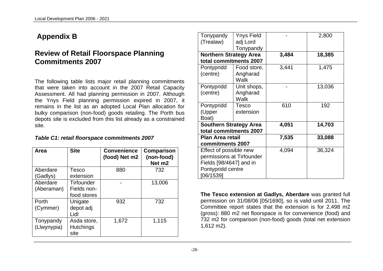### **Appendix B**

### **Review of Retail Floorspace Planning Commitments 2007**

The following table lists major retail planning commitments that were taken into account in the 2007 Retail Capacity Assessment. All had planning permission in 2007. Although the Ynys Field planning permission expired in 2007, it remains in the list as an adopted Local Plan allocation for bulky comparison (non-food) goods retailing. The Porth bus depots site is excluded from this list already as a constrained site.

#### *Table C1: retail floorspace commitments 2007*

| Area        | <b>Site</b>      | <b>Convenience</b><br>(food) Net m2 | Comparison<br>(non-food)<br>Net m <sub>2</sub> |
|-------------|------------------|-------------------------------------|------------------------------------------------|
| Aberdare    | Tesco            | 880                                 | 732                                            |
| (Gadlys)    | extension        |                                     |                                                |
| Aberdare    | Tirfounder       |                                     | 13,006                                         |
| (Aberaman)  | Fields non-      |                                     |                                                |
|             | food stores      |                                     |                                                |
| Porth       | Unigate          | 932                                 | 732                                            |
| (Cymmer)    | depot adj        |                                     |                                                |
|             | Lidl             |                                     |                                                |
| Tonypandy   | Asda store,      | 1,672                               | 1,115                                          |
| (Llwynypia) | <b>Hutchings</b> |                                     |                                                |
|             | site             |                                     |                                                |

| Tonypandy                     | Ynys Field  |       | 2,800  |
|-------------------------------|-------------|-------|--------|
| (Trealaw)                     | adj Lord    |       |        |
|                               | Tonypandy   |       |        |
| <b>Northern Strategy Area</b> |             | 3,484 | 18,385 |
| total commitments 2007        |             |       |        |
| Pontypridd                    | Food store, | 3,441 | 1,475  |
| (centre)                      | Angharad    |       |        |
|                               | Walk        |       |        |
| Pontypridd                    | Unit shops, |       | 13,036 |
| (centre)                      | Angharad    |       |        |
|                               | Walk        |       |        |
| Pontypridd                    | Tesco       | 610   | 192    |
| (Upper                        | extension   |       |        |
| Boat)                         |             |       |        |
| <b>Southern Strategy Area</b> |             | 4,051 | 14,703 |
| total commitments 2007        |             |       |        |
| <b>Plan Area retail</b>       |             | 7,535 | 33,088 |
| commitments 2007              |             |       |        |
| Effect of possible new        |             | 4,094 | 36,324 |
| permissions at Tirfounder     |             |       |        |
| Fields [98/4647] and in       |             |       |        |
| Pontypridd centre             |             |       |        |
| [06/1539]                     |             |       |        |

**The Tesco extension at Gadlys, Aberdare** was granted full permission on 31/08/06 [05/1690], so is valid until 2011. The Committee report states that the extension is for 2,498 m2 (gross): 880 m2 net floorspace is for convenience (food) and 732 m2 for comparison (non-food) goods (total net extension 1,612 m2).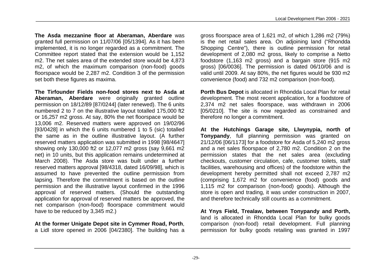**The Asda mezzanine floor at Aberaman, Aberdare** was granted full permission on 11/07/06 [05/1394]. As it has been implemented, it is no longer regarded as a commitment. The Committee report stated that the extension would be 1,152 m2. The net sales area of the extended store would be 4,873 m2, of which the maximum comparison (non-food) goods floorspace would be 2,287 m2. Condition 3 of the permission set both these figures as maxima.

**The Tirfounder Fields non-food stores next to Asda at Aberaman, Aberdare** were originally granted outline permission on 18/12/89 [87/0244] (later renewed). The 6 units numbered 2 to 7 on the illustrative layout totalled 175,000 ft2 or 16,257 m2 gross. At say, 80% the net floorspace would be 13,006 m2. Reserved matters were approved on 19/02/96 [93/0428] in which the 6 units numbered 1 to 5 (sic) totalled the same as in the outline illustrative layout. (A further reserved matters application was submitted in 1998 [98/4647] showing only 130,000 ft2 or 12,077 m2 gross (say 9,661 m2 net) in 10 units, but this application remains undetermined at March 2008). The Asda store was built under a further reserved matters approval [98/4318, dated 16/09/98], which is assumed to have prevented the outline permission from lapsing. Therefore the commitment is based on the outline permission and the illustrative layout confirmed in the 1996 approval of reserved matters. (Should the outstanding application for approval of reserved matters be approved, the net comparison (non-food) floorspace commitment would have to be reduced by 3,345 m2.)

**At the former Unigate Depot site in Cymmer Road, Porth**, a Lidl store opened in 2006 [04/2380]. The building has a gross floorspace area of 1,621 m2, of which 1,286 m2 (79%) is the net retail sales area. On adjoining land ("Rhondda Shopping Centre"), there is outline permission for retail development of 2,080 m2 gross, likely to comprise a Netto foodstore (1,163 m2 gross) and a bargain store (915 m2 gross) [06/0036]. The permission is dated 06/10/06 and is valid until 2009. At say 80%, the net figures would be 930 m2 convenience (food) and 732 m2 comparison (non-food).

**Porth Bus Depot** is allocated in Rhondda Local Plan for retail development. The most recent application, for a foodstore of 2,374 m2 net sales floorspace, was withdrawn in 2006 [05/0210]. The site is now regarded as constrained and therefore no longer a commitment.

**At the Hutchings Garage site, Llwynypia, north of Tonypandy**, full planning permission was granted on 21/12/06 [06/1173] for a foodstore for Asda of 5,240 m2 gross and a net sales floorspace of 2,780 m2. Condition 2 on the permission states that the net sales area (excluding checkouts, customer circulation, cafe, customer toilets, staff facilities, warehousing and offices) of the foodstore within the development hereby permitted shall not exceed 2,787 m2 (comprising 1,672 m2 for convenience (food) goods and 1,115 m2 for comparison (non-food) goods). Although the store is open and trading, it was under construction in 2007, and therefore technically still counts as a commitment.

**At Ynys Field, Trealaw, between Tonypandy and Porth,** land is allocated in Rhondda Local Plan for bulky goods comparison (non-food) retail development. Full planning permission for bulky goods retailing was granted in 1997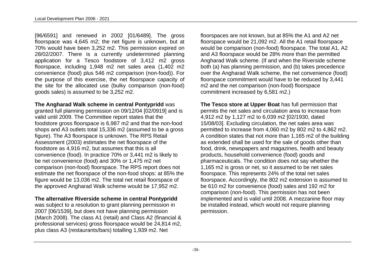[96/6591] and renewed in 2002 [01/6489]. The gross floorspace was 4,645 m2; the net figure is unknown, but at 70% would have been 3,252 m2. This permission expired on 28/02/2007. There is a currently undetermined planning application for a Tesco foodstore of 3,412 m2 gross floorspace, including 1,948 m2 net sales area (1,402 m2 convenience (food) plus 546 m2 comparison (non-food)). For the purpose of this exercise, the net floorspace capacity of the site for the allocated use (bulky comparison (non-food) goods sales) is assumed to be 3,252 m2.

#### **The Angharad Walk scheme in central Pontypridd** was

granted full planning permission on 09/12/04 [02/0919] and is valid until 2009. The Committee report states that the foodstore gross floorspace is 6,987 m2 and that the non-food shops and A3 outlets total 15,336 m2 (assumed to be a gross figure). The A3 floorspace is unknown. The RPS Retail Assessment (2003) estimates the net floorspace of the foodstore as 4,916 m2, but assumes that this is all convenience (food). In practice 70% or 3,441 m2 is likely to be net convenience (food) and 30% or 1,475 m2 net comparison (non-food) floorspace. The RPS report does not estimate the net floorspace of the non-food shops: at 85% the figure would be 13,036 m2. The total net retail floorspace of the approved Angharad Walk scheme would be 17,952 m2.

#### **The alternative Riverside scheme in central Pontypridd**

was subject to a resolution to grant planning permission in 2007 [06/1539], but does not have planning permission (March 2008). The class A1 (retail) and Class A2 (financial & professional services) gross floorspace would be 24,814 m2, plus class A3 (restaurants/bars) totalling 1,939 m2. Net

floorspaces are not known, but at 85% the A1 and A2 net floorspace would be 21,092 m2. All the A1 retail floorspace would be comparison (non-food) floorspace. The total A1, A2 and A3 floorspace would be 28% more than the permitted Angharad Walk scheme. (If and when the Riverside scheme both (a) has planning permission, and (b) takes precedence over the Angharad Walk scheme, the net convenience (food) floorspace commitment would have to be reduced by 3,441 m2 and the net comparison (non-food) floorspace commitment increased by 6,581 m2.)

**The Tesco store at Upper Boat** has full permission that permits the net sales and circulation area to increase from 4,912 m2 by 1,127 m2 to 6,039 m2 [02/1930, dated 15/08/03]. Excluding circulation, the net sales area was permitted to increase from 4,060 m2 by 802 m2 to 4,862 m2. A condition states that not more than 1,165 m2 of the building as extended shall be used for the sale of goods other than food, drink, newspapers and magazines, health and beauty products, household convenience (food) goods and pharmaceuticals. The condition does not say whether the 1,165 m2 is gross or net, so it assumed to be net sales floorspace. This represents 24% of the total net sales floorspace. Accordingly, the 802 m2 extension is assumed to be 610 m2 for convenience (food) sales and 192 m2 for comparison (non-food). This permission has not been implemented and is valid until 2008. A mezzanine floor may be installed instead, which would not require planning permission.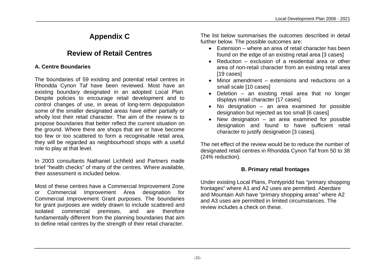### **Appendix C**

### **Review of Retail Centres**

#### **A. Centre Boundaries**

The boundaries of 59 existing and potential retail centres in Rhondda Cynon Taf have been reviewed. Most have an existing boundary designated in an adopted Local Plan. Despite policies to encourage retail development and to control changes of use, in areas of long-term depopulation some of the smaller designated areas have either partially or wholly lost their retail character. The aim of the review is to propose boundaries that better reflect the current situation on the ground. Where there are shops that are or have become too few or too scattered to form a recognisable retail area, they will be regarded as neighbourhood shops with a useful role to play at that level.

In 2003 consultants Nathaniel Lichfield and Partners made brief "health checks" of many of the centres. Where available, their assessment is included below.

Most of these centres have a Commercial Improvement Zone or Commercial Improvement Area designation for Commercial Improvement Grant purposes. The boundaries for grant purposes are widely drawn to include scattered and isolated commercial premises, and are therefore fundamentally different from the planning boundaries that aim to define retail centres by the strength of their retail character.

The list below summarises the outcomes described in detail further below. The possible outcomes are:

- Extension where an area of retail character has been found on the edge of an existing retail area [3 cases]
- Reduction exclusion of a residential area or other area of non-retail character from an existing retail area [19 cases]
- Minor amendment extensions and reductions on a small scale [10 cases]
- Deletion an existing retail area that no longer displays retail character [17 cases]
- No designation an area examined for possible designation but rejected as too small [6 cases]
- New designation an area examined for possible designation and found to have sufficient retail character to justify designation [3 cases].

The net effect of the review would be to reduce the number of designated retail centres in Rhondda Cynon Taf from 50 to 38 (24% reduction).

#### **B. Primary retail frontages**

Under existing Local Plans, Pontypridd has "primary shopping frontages" where A1 and A2 uses are permitted. Aberdare and Mountain Ash have "primary shopping areas" where A2 and A3 uses are permitted in limited circumstances. The review includes a check on these.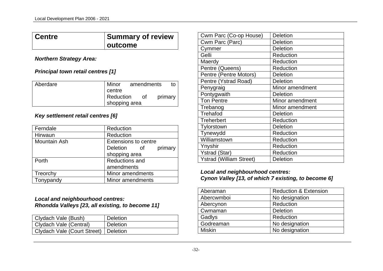#### **Centre Summary of review outcome**

#### *Northern Strategy Area:*

#### *Principal town retail centres [1]*

| Aberdare | amendments<br>Minor<br>to  |
|----------|----------------------------|
|          | centre                     |
|          | Reduction<br>primary<br>0t |
|          | shopping area              |

#### *Key settlement retail centres [6]*

| Ferndale            | Reduction                   |
|---------------------|-----------------------------|
| Hirwaun             | Reduction                   |
| <b>Mountain Ash</b> | <b>Extensions to centre</b> |
|                     | Deletion of<br>primary      |
|                     | shopping area               |
| Porth               | <b>Reductions and</b>       |
|                     | amendments                  |
| Treorchy            | Minor amendments            |
| Tonypandy           | Minor amendments            |

#### *Local and neighbourhood centres: Rhondda Valleys [23, all existing, to become 11]*

| Clydach Vale (Bush)                    | Deletion |
|----------------------------------------|----------|
| Clydach Vale (Central)                 | Deletion |
| Clydach Vale (Court Street)   Deletion |          |

| Cwm Parc (Co-op House)         | <b>Deletion</b> |
|--------------------------------|-----------------|
| Cwm Parc (Parc)                | Deletion        |
| Cymmer                         | <b>Deletion</b> |
| Gelli                          | Reduction       |
| Maerdy                         | Reduction       |
| Pentre (Queens)                | Reduction       |
| Pentre (Pentre Motors)         | <b>Deletion</b> |
| Pentre (Ystrad Road)           | <b>Deletion</b> |
| Penygraig                      | Minor amendment |
| Pontygwaith                    | <b>Deletion</b> |
| <b>Ton Pentre</b>              | Minor amendment |
| Trebanog                       | Minor amendment |
| Trehafod                       | <b>Deletion</b> |
| <b>Treherbert</b>              | Reduction       |
| Tylorstown                     | <b>Deletion</b> |
| Tynewydd                       | Reduction       |
| Williamstown                   | Reduction       |
| Ynyshir                        | Reduction       |
| <b>Ystrad (Star)</b>           | Reduction       |
| <b>Ystrad (William Street)</b> | <b>Deletion</b> |

#### *Local and neighbourhood centres: Cynon Valley [13, of which 7 existing, to become 6]*

| Aberaman      | <b>Reduction &amp; Extension</b> |
|---------------|----------------------------------|
| Abercwmboi    | No designation                   |
| Abercynon     | Reduction                        |
| Cwmaman       | <b>Deletion</b>                  |
| Gadlys        | Reduction                        |
| Godreaman     | No designation                   |
| <b>Miskin</b> | No designation                   |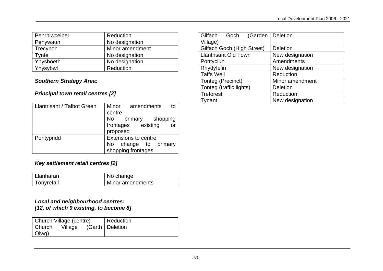| Penrhiwceiber | Reduction       |
|---------------|-----------------|
| Penywaun      | No designation  |
| Trecynon      | Minor amendment |
| Tynte         | No designation  |
| Ynysboeth     | No designation  |
| Ynysybwl      | Reduction       |

#### *Southern Strategy Area:*

#### *Principal town retail centres [2]*

| <b>Llantrisant / Talbot Green</b> | Minor<br>amendments<br>to                                                 |
|-----------------------------------|---------------------------------------------------------------------------|
|                                   | centre                                                                    |
|                                   | No l<br>primary shopping                                                  |
|                                   | frontages existing<br>$or$ .<br>proposed                                  |
| Pontypridd                        | <b>Extensions to centre</b><br>No change to primary<br>shopping frontages |

#### *Key settlement retail centres [2]*

| l Llanharan             | No change        |
|-------------------------|------------------|
| <sup>I</sup> Tonyrefail | Minor amendments |

#### *Local and neighbourhood centres: [12, of which 9 existing, to become 8]*

| Church Village (centre) |         | Reduction         |
|-------------------------|---------|-------------------|
| Church                  | Village | (Garth   Deletion |
| Olwg)                   |         |                   |

| Gilfach Goch (Garden        | <b>Deletion</b> |
|-----------------------------|-----------------|
| Village)                    |                 |
| Gilfach Goch (High Street)  | <b>Deletion</b> |
| <b>Llantrisant Old Town</b> | New designation |
| Pontyclun                   | Amendments      |
| Rhydyfelin                  | New designation |
| <b>Taffs Well</b>           | Reduction       |
| Tonteg (Precinct)           | Minor amendment |
| Tonteg (traffic lights)     | <b>Deletion</b> |
| <b>Treforest</b>            | Reduction       |
| Tynant                      | New designation |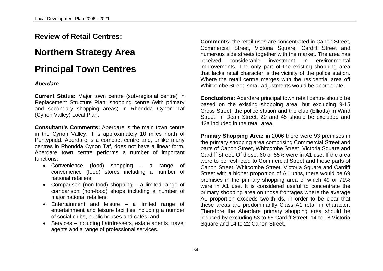### **Review of Retail Centres:**

### **Northern Strategy Area**

### **Principal Town Centres**

#### *Aberdare*

**Current Status:** Major town centre (sub-regional centre) in Replacement Structure Plan; shopping centre (with primary and secondary shopping areas) in Rhondda Cynon Taf (Cynon Valley) Local Plan.

**Consultant's Comments:** Aberdare is the main town centre in the Cynon Valley. It is approximately 10 miles north of Pontypridd. Aberdare is a compact centre and, unlike many centres in Rhondda Cynon Taf, does not have a linear form. Aberdare town centre performs a number of important functions:

- Convenience (food) shopping a range of convenience (food) stores including a number of national retailers;
- Comparison (non-food) shopping a limited range of comparison (non-food) shops including a number of major national retailers;
- Entertainment and leisure a limited range of entertainment and leisure facilities including a number of social clubs, public houses and cafés; and
- Services including hairdressers, estate agents, travel agents and a range of professional services.

**Comments:** the retail uses are concentrated in Canon Street, Commercial Street, Victoria Square, Cardiff Street and numerous side streets together with the market. The area has received considerable investment in environmental improvements. The only part of the existing shopping area that lacks retail character is the vicinity of the police station. Where the retail centre merges with the residential area off Whitcombe Street, small adjustments would be appropriate.

**Conclusions:** Aberdare principal town retail centre should be based on the existing shopping area, but excluding 9-15 Cross Street, the police station and the club (Elliotts) in Wind Street. In Dean Street, 20 and 45 should be excluded and 43a included in the retail area.

**Primary Shopping Area:** in 2006 there were 93 premises in the primary shopping area comprising Commercial Street and parts of Canon Street, Whitcombe Street, Victoria Square and Cardiff Street. Of these, 60 or 65% were in A1 use. If the area were to be restricted to Commercial Street and those parts of Canon Street, Whitcombe Street, Victoria Square and Cardiff Street with a higher proportion of A1 units, there would be 69 premises in the primary shopping area of which 49 or 71% were in A1 use. It is considered useful to concentrate the primary shopping area on those frontages where the average A1 proportion exceeds two-thirds, in order to be clear that these areas are predominantly Class A1 retail in character. Therefore the Aberdare primary shopping area should be reduced by excluding 53 to 65 Cardiff Street, 14 to 18 Victoria Square and 14 to 22 Canon Street.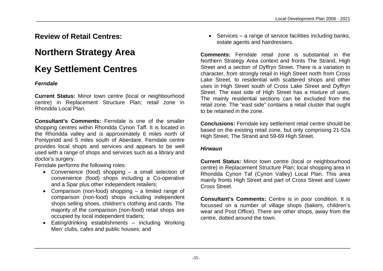### **Review of Retail Centres:**

### **Northern Strategy Area**

### **Key Settlement Centres**

#### *Ferndale*

**Current Status:** Minor town centre (local or neighbourhood centre) in Replacement Structure Plan; retail zone in Rhondda Local Plan.

**Consultant's Comments:** Ferndale is one of the smaller shopping centres within Rhondda Cynon Taff. It is located in the Rhondda valley and is approximately 6 miles north of Pontypridd and 5 miles south of Aberdare. Ferndale centre provides local shops and services and appears to be well used with a range of shops and services such as a library and doctor's surgery.

Ferndale performs the following roles:

- Convenience (food) shopping a small selection of convenience (food) shops including a Co-operative and a Spar plus other independent retailers;
- Comparison (non-food) shopping a limited range of comparison (non-food) shops including independent shops selling shoes, children's clothing and cards. The majority of the comparison (non-food) retail shops are occupied by local independent traders;
- Eating/drinking establishments including Working Men' clubs, cafes and public houses; and

• Services – a range of service facilities including banks, estate agents and hairdressers.

**Comments:** Ferndale retail zone is substantial in the Northern Strategy Area context and fronts The Strand, High Street and a section of Dyffryn Street. There is a variation in character, from strongly retail in High Street north from Cross Lake Street, to residential with scattered shops and other uses in High Street south of Cross Lake Street and Dyffryn Street. The east side of High Street has a mixture of uses. The mainly residential sections can be excluded from the retail zone. The "east side" contains a retail cluster that ought to be retained in the zone.

**Conclusions:** Ferndale key settlement retail centre should be based on the existing retail zone, but only comprising 21-52a High Street, The Strand and 59-69 High Street.

#### *Hirwaun*

**Current Status:** Minor town centre (local or neighbourhood centre) in Replacement Structure Plan; local shopping area in Rhondda Cynon Taf (Cynon Valley) Local Plan. This area mainly fronts High Street and part of Cross Street and Lower Cross Street.

**Consultant's Comments:** Centre is in poor condition. It is focussed on a number of village shops (bakers, children's wear and Post Office). There are other shops, away from the centre, dotted around the town.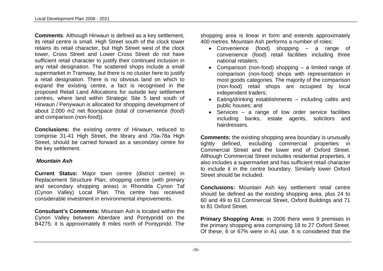**Comments**: Although Hirwaun is defined as a key settlement, its retail centre is small. High Street south of the clock tower retains its retail character, but High Street west of the clock tower, Cross Street and Lower Cross Street do not have sufficient retail character to justify their continued inclusion in any retail designation. The scattered shops include a small supermarket in Tramway, but there is no cluster here to justify a retail designation. There is no obvious land on which to expand the existing centre, a fact is recognised in the proposed Retail Land Allocations for outside key settlement centres, where land within Strategic Site 5 land south of Hirwaun / Penywaun is allocated for shopping development of about 2,000 m2 net floorspace (total of convenience (food) and comparison (non-food)).

**Conclusions:** the existing centre of Hirwaun, reduced to comprise 31-41 High Street, the library and 70a-78a High Street, should be carried forward as a secondary centre for the key settlement.

#### *Mountain Ash*

**Current Status:** Major town centre (district centre) in Replacement Structure Plan; shopping centre (with primary and secondary shopping areas) in Rhondda Cynon Taf (Cynon Valley) Local Plan. This centre has received considerable investment in environmental improvements.

**Consultant's Comments:** Mountain Ash is located within the Cynon Valley between Aberdare and Pontypridd on the B4275; it is approximately 8 miles north of Pontypridd. The shopping area is linear in form and extends approximately 400 metres. Mountain Ash performs a number of roles:

- Convenience (food) shopping a range of convenience (food) retail facilities including three national retailers;
- Comparison (non-food) shopping a limited range of comparison (non-food) shops with representation in most goods categories. The majority of the comparison (non-food) retail shops are occupied by local independent traders;
- Eating/drinking establishments including cafés and public houses; and
- Services a range of low order service facilities including banks, estate agents, solicitors and hairdressers.

**Comments:** the existing shopping area boundary is unusually tightly defined, excluding commercial properties in Commercial Street and the lower end of Oxford Street. Although Commercial Street includes residential properties, it also includes a supermarket and has sufficient retail character to include it in the centre boundary. Similarly lower Oxford Street should be included.

**Conclusions:** Mountain Ash key settlement retail centre should be defined as the existing shopping area, plus 24 to 60 and 49 to 63 Commercial Street, Oxford Buildings and 71 to 81 Oxford Street.

**Primary Shopping Area:** in 2006 there were 9 premises in the primary shopping area comprising 18 to 27 Oxford Street. Of these, 6 or 67% were in A1 use. It is considered that the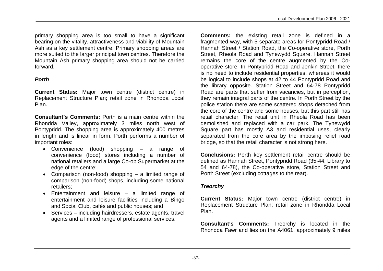primary shopping area is too small to have a significant bearing on the vitality, attractiveness and viability of Mountain Ash as a key settlement centre. Primary shopping areas are more suited to the larger principal town centres. Therefore the Mountain Ash primary shopping area should not be carried forward.

#### *Porth*

**Current Status:** Major town centre (district centre) in Replacement Structure Plan; retail zone in Rhondda Local Plan.

**Consultant's Comments:** Porth is a main centre within the Rhondda Valley, approximately 3 miles north west of Pontypridd. The shopping area is approximately 400 metres in length and is linear in form. Porth performs a number of important roles:

- Convenience (food) shopping a range of convenience (food) stores including a number of national retailers and a large Co-op Supermarket at the edge of the centre;
- Comparison (non-food) shopping a limited range of comparison (non-food) shops, including some national retailers;
- Entertainment and leisure a limited range of entertainment and leisure facilities including a Bingo and Social Club, cafés and public houses; and
- Services including hairdressers, estate agents, travel agents and a limited range of professional services.

**Comments:** the existing retail zone is defined in a fragmented way, with 5 separate areas for Pontypridd Road / Hannah Street / Station Road, the Co-operative store, Porth Street, Rheola Road and Tynewydd Square. Hannah Street remains the core of the centre augmented by the Cooperative store. In Pontypridd Road and Jenkin Street, there is no need to include residential properties, whereas it would be logical to include shops at 42 to 44 Pontypridd Road and the library opposite. Station Street and 64-78 Pontypridd Road are parts that suffer from vacancies, but in perception, they remain integral parts of the centre. In Porth Street by the police station there are some scattered shops detached from the core of the centre and some houses, but this part still has retail character. The retail unit in Rheola Road has been demolished and replaced with a car park. The Tynewydd Square part has mostly A3 and residential uses, clearly separated from the core area by the imposing relief road bridge, so that the retail character is not strong here.

**Conclusions:** Porth key settlement retail centre should be defined as Hannah Street, Pontypridd Road (35-44, Library to 54 and 64-78), the Co-operative store, Station Street and Porth Street (excluding cottages to the rear).

#### *Treorchy*

**Current Status:** Major town centre (district centre) in Replacement Structure Plan; retail zone in Rhondda Local Plan.

**Consultant's Comments:** Treorchy is located in the Rhondda Fawr and lies on the A4061, approximately 9 miles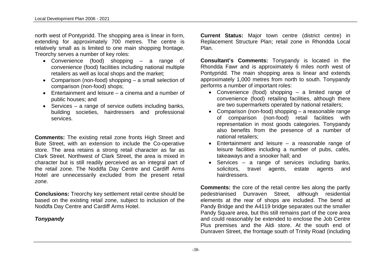north west of Pontypridd. The shopping area is linear in form, extending for approximately 700 metres. The centre is relatively small as is limited to one main shopping frontage. Treorchy serves a number of key roles:

- Convenience (food) shopping a range of convenience (food) facilities including national multiple retailers as well as local shops and the market;
- Comparison (non-food) shopping a small selection of comparison (non-food) shops;
- Entertainment and leisure a cinema and a number of public houses; and
- $\bullet$  Services a range of service outlets including banks, building societies, hairdressers and professional services.

**Comments:** The existing retail zone fronts High Street and Bute Street, with an extension to include the Co-operative store. The area retains a strong retail character as far as Clark Street. Northwest of Clark Street, the area is mixed in character but is still readily perceived as an integral part of the retail zone. The Noddfa Day Centre and Cardiff Arms Hotel are unnecessarily excluded from the present retail zone.

**Conclusions:** Treorchy key settlement retail centre should be based on the existing retail zone, subject to inclusion of the Noddfa Day Centre and Cardiff Arms Hotel.

#### *Tonypandy*

**Current Status:** Major town centre (district centre) in Replacement Structure Plan; retail zone in Rhondda Local Plan.

**Consultant's Comments:** Tonypandy is located in the Rhondda Fawr and is approximately 6 miles north west of Pontypridd. The main shopping area is linear and extends approximately 1,000 metres from north to south. Tonypandy performs a number of important roles:

- Convenience (food) shopping a limited range of convenience (food) retailing facilities, although there are two supermarkets operated by national retailers;
- Comparison (non-food) shopping a reasonable range of comparison (non-food) retail facilities with representation in most goods categories. Tonypandy also benefits from the presence of a number of national retailers;
- Entertainment and leisure a reasonable range of leisure facilities including a number of pubs, cafés, takeaways and a snooker hall; and
- Services a range of services including banks, solicitors, travel agents, estate agents and hairdressers.

**Comments:** the core of the retail centre lies along the partly pedestrianised Dunraven Street, although residential elements at the rear of shops are included. The bend at Pandy Bridge and the A4119 bridge separates out the smaller Pandy Square area, but this still remains part of the core area and could reasonably be extended to enclose the Job Centre Plus premises and the Aldi store. At the south end of Dunraven Street, the frontage south of Trinity Road (including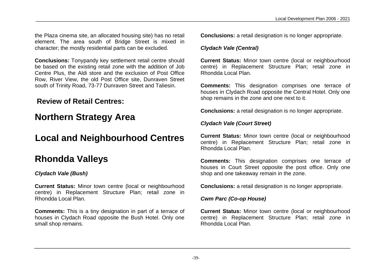the Plaza cinema site, an allocated housing site) has no retail element. The area south of Bridge Street is mixed in character; the mostly residential parts can be excluded.

**Conclusions:** Tonypandy key settlement retail centre should be based on the existing retail zone with the addition of Job Centre Plus, the Aldi store and the exclusion of Post Office Row, River View, the old Post Office site, Dunraven Street south of Trinity Road, 73-77 Dunraven Street and Taliesin.

### **Review of Retail Centres:**

### **Northern Strategy Area**

### **Local and Neighbourhood Centres**

### **Rhondda Valleys**

#### *Clydach Vale (Bush)*

**Current Status:** Minor town centre (local or neighbourhood centre) in Replacement Structure Plan; retail zone in Rhondda Local Plan.

**Comments:** This is a tiny designation in part of a terrace of houses in Clydach Road opposite the Bush Hotel. Only one small shop remains.

**Conclusions:** a retail designation is no longer appropriate.

#### *Clydach Vale (Central)*

**Current Status:** Minor town centre (local or neighbourhood centre) in Replacement Structure Plan; retail zone in Rhondda Local Plan.

**Comments:** This designation comprises one terrace of houses in Clydach Road opposite the Central Hotel. Only one shop remains in the zone and one next to it.

**Conclusions:** a retail designation is no longer appropriate.

#### *Clydach Vale (Court Street)*

**Current Status:** Minor town centre (local or neighbourhood centre) in Replacement Structure Plan; retail zone in Rhondda Local Plan.

**Comments:** This designation comprises one terrace of houses in Court Street opposite the post office. Only one shop and one takeaway remain in the zone.

**Conclusions:** a retail designation is no longer appropriate.

#### *Cwm Parc (Co-op House)*

**Current Status:** Minor town centre (local or neighbourhood centre) in Replacement Structure Plan; retail zone in Rhondda Local Plan.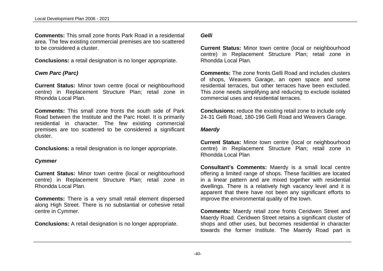**Comments:** This small zone fronts Park Road in a residential area. The few existing commercial premises are too scattered to be considered a cluster.

**Conclusions:** a retail designation is no longer appropriate.

#### *Cwm Parc (Parc)*

**Current Status:** Minor town centre (local or neighbourhood centre) in Replacement Structure Plan; retail zone in Rhondda Local Plan.

**Comments:** This small zone fronts the south side of Park Road between the Institute and the Parc Hotel. It is primarily residential in character. The few existing commercial premises are too scattered to be considered a significant cluster.

**Conclusions:** a retail designation is no longer appropriate.

#### *Cymmer*

**Current Status:** Minor town centre (local or neighbourhood centre) in Replacement Structure Plan; retail zone in Rhondda Local Plan.

**Comments:** There is a very small retail element dispersed along High Street. There is no substantial or cohesive retail centre in Cymmer.

**Conclusions:** A retail designation is no longer appropriate.

#### *Gelli*

**Current Status:** Minor town centre (local or neighbourhood centre) in Replacement Structure Plan; retail zone in Rhondda Local Plan.

**Comments:** The zone fronts Gelli Road and includes clusters of shops, Weavers Garage, an open space and some residential terraces, but other terraces have been excluded. This zone needs simplifying and reducing to exclude isolated commercial uses and residential terraces.

**Conclusions:** reduce the existing retail zone to include only 24-31 Gelli Road, 180-196 Gelli Road and Weavers Garage.

#### *Maerdy*

**Current Status:** Minor town centre (local or neighbourhood centre) in Replacement Structure Plan; retail zone in Rhondda Local Plan

**Consultant's Comments:** Maerdy is a small local centre offering a limited range of shops. These facilities are located in a linear pattern and are mixed together with residential dwellings. There is a relatively high vacancy level and it is apparent that there have not been any significant efforts to improve the environmental quality of the town.

**Comments:** Maerdy retail zone fronts Ceridwen Street and Maerdy Road. Ceridwen Street retains a significant cluster of shops and other uses, but becomes residential in character towards the former Institute. The Maerdy Road part is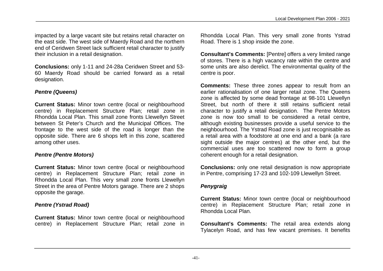impacted by a large vacant site but retains retail character on the east side. The west side of Maerdy Road and the northern end of Ceridwen Street lack sufficient retail character to justify their inclusion in a retail designation.

**Conclusions:** only 1-11 and 24-28a Ceridwen Street and 53- 60 Maerdy Road should be carried forward as a retail designation.

#### *Pentre (Queens)*

**Current Status:** Minor town centre (local or neighbourhood centre) in Replacement Structure Plan; retail zone in Rhondda Local Plan. This small zone fronts Llewellyn Street between St Peter's Church and the Municipal Offices. The frontage to the west side of the road is longer than the opposite side. There are 6 shops left in this zone, scattered among other uses.

#### *Pentre (Pentre Motors)*

**Current Status:** Minor town centre (local or neighbourhood centre) in Replacement Structure Plan; retail zone in Rhondda Local Plan. This very small zone fronts Llewellyn Street in the area of Pentre Motors garage. There are 2 shops opposite the garage.

#### *Pentre (Ystrad Road)*

**Current Status:** Minor town centre (local or neighbourhood centre) in Replacement Structure Plan; retail zone in Rhondda Local Plan. This very small zone fronts Ystrad Road. There is 1 shop inside the zone.

**Consultant's Comments:** [Pentre] offers a very limited range of stores. There is a high vacancy rate within the centre and some units are also derelict. The environmental quality of the centre is poor.

**Comments:** These three zones appear to result from an earlier rationalisation of one larger retail zone. The Queens zone is affected by some dead frontage at 98-101 Llewellyn Street, but north of there it still retains sufficient retail character to justify a retail designation. The Pentre Motors zone is now too small to be considered a retail centre, although existing businesses provide a useful service to the neighbourhood. The Ystrad Road zone is just recognisable as a retail area with a foodstore at one end and a bank (a rare sight outside the major centres) at the other end, but the commercial uses are too scattered now to form a group coherent enough for a retail designation.

**Conclusions:** only one retail designation is now appropriate in Pentre, comprising 17-23 and 102-109 Llewellyn Street.

#### *Penygraig*

**Current Status:** Minor town centre (local or neighbourhood centre) in Replacement Structure Plan; retail zone in Rhondda Local Plan.

**Consultant's Comments:** The retail area extends along Tylacelyn Road, and has few vacant premises. It benefits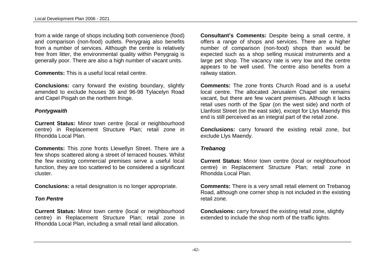from a wide range of shops including both convenience (food) and comparison (non-food) outlets. Penygraig also benefits from a number of services. Although the centre is relatively free from litter, the environmental quality within Penygraig is generally poor. There are also a high number of vacant units.

**Comments:** This is a useful local retail centre.

**Conclusions:** carry forward the existing boundary, slightly amended to exclude houses 36 and 96-98 Tylacelyn Road and Capel Pisgah on the northern fringe.

#### *Pontygwaith*

**Current Status:** Minor town centre (local or neighbourhood centre) in Replacement Structure Plan; retail zone in Rhondda Local Plan.

**Comments:** This zone fronts Llewellyn Street. There are a few shops scattered along a street of terraced houses. Whilst the few existing commercial premises serve a useful local function, they are too scattered to be considered a significant cluster.

**Conclusions:** a retail designation is no longer appropriate.

#### *Ton Pentre*

**Current Status:** Minor town centre (local or neighbourhood centre) in Replacement Structure Plan; retail zone in Rhondda Local Plan, including a small retail land allocation.

**Consultant's Comments:** Despite being a small centre, it offers a range of shops and services. There are a higher number of comparison (non-food) shops than would be expected such as a shop selling musical instruments and a large pet shop. The vacancy rate is very low and the centre appears to be well used. The centre also benefits from a railway station.

**Comments:** The zone fronts Church Road and is a useful local centre. The allocated Jerusalem Chapel site remains vacant, but there are few vacant premises. Although it lacks retail uses north of the Spar (on the west side) and north of Llanfoist Street (on the east side), except for Llys Maendy this end is still perceived as an integral part of the retail zone.

**Conclusions:** carry forward the existing retail zone, but exclude Llys Maendy.

#### *Trebanog*

**Current Status: Minor town centre (local or neighbourhood)** centre) in Replacement Structure Plan; retail zone in Rhondda Local Plan.

**Comments:** There is a very small retail element on Trebanog Road, although one corner shop is not included in the existing retail zone.

**Conclusions:** carry forward the existing retail zone, slightly extended to include the shop north of the traffic lights.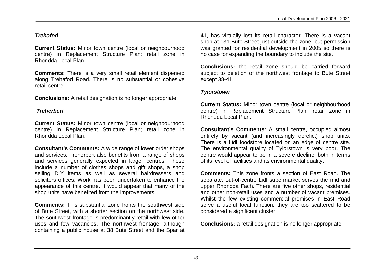#### *Trehafod*

**Current Status:** Minor town centre (local or neighbourhood centre) in Replacement Structure Plan; retail zone in Rhondda Local Plan.

**Comments:** There is a very small retail element dispersed along Trehafod Road. There is no substantial or cohesive retail centre.

**Conclusions:** A retail designation is no longer appropriate.

#### *Treherbert*

**Current Status:** Minor town centre (local or neighbourhood centre) in Replacement Structure Plan; retail zone in Rhondda Local Plan.

**Consultant's Comments:** A wide range of lower order shops and services. Treherbert also benefits from a range of shops and services generally expected in larger centres. These include a number of clothes shops and gift shops, a shop selling DIY items as well as several hairdressers and solicitors offices. Work has been undertaken to enhance the appearance of this centre. It would appear that many of the shop units have benefited from the improvements.

**Comments:** This substantial zone fronts the southwest side of Bute Street, with a shorter section on the northwest side. The southwest frontage is predominantly retail with few other uses and few vacancies. The northwest frontage, although containing a public house at 38 Bute Street and the Spar at 41, has virtually lost its retail character. There is a vacant shop at 131 Bute Street just outside the zone, but permission was granted for residential development in 2005 so there is no case for expanding the boundary to include the site.

**Conclusions:** the retail zone should be carried forward subject to deletion of the northwest frontage to Bute Street except 38-41.

#### *Tylorstown*

**Current Status:** Minor town centre (local or neighbourhood centre) in Replacement Structure Plan; retail zone in Rhondda Local Plan.

**Consultant's Comments:** A small centre, occupied almost entirely by vacant (and increasingly derelict) shop units. There is a Lidl foodstore located on an edge of centre site. The environmental quality of Tylorstown is very poor. The centre would appear to be in a severe decline, both in terms of its level of facilities and its environmental quality.

**Comments:** This zone fronts a section of East Road. The separate, out-of-centre Lidl supermarket serves the mid and upper Rhondda Fach. There are five other shops, residential and other non-retail uses and a number of vacant premises. Whilst the few existing commercial premises in East Road serve a useful local function, they are too scattered to be considered a significant cluster.

**Conclusions:** a retail designation is no longer appropriate.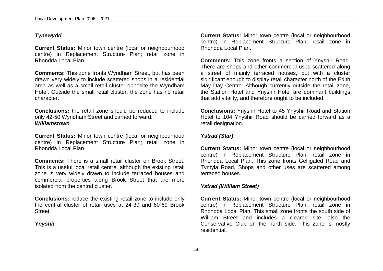#### *Tynewydd*

**Current Status:** Minor town centre (local or neighbourhood centre) in Replacement Structure Plan; retail zone in Rhondda Local Plan.

**Comments:** This zone fronts Wyndham Street, but has been drawn very widely to include scattered shops in a residential area as well as a small retail cluster opposite the Wyndham Hotel. Outside the small retail cluster, the zone has no retail character.

**Conclusions:** the retail zone should be reduced to include only 42-50 Wyndham Street and carried forward. *Williamstown*

**Current Status:** Minor town centre (local or neighbourhood centre) in Replacement Structure Plan; retail zone in Rhondda Local Plan.

**Comments:** There is a small retail cluster on Brook Street. This is a useful local retail centre, although the existing retail zone is very widely drawn to include terraced houses and commercial properties along Brook Street that are more isolated from the central cluster.

**Conclusions:** reduce the existing retail zone to include only the central cluster of retail uses at 24-30 and 60-69 Brook **Street** 

*Ynyshir*

**Current Status: Minor town centre (local or neighbourhood)** centre) in Replacement Structure Plan; retail zone in Rhondda Local Plan.

**Comments:** This zone fronts a section of Ynyshir Road. There are shops and other commercial uses scattered along a street of mainly terraced houses, but with a cluster significant enough to display retail character north of the Edith May Day Centre. Although currently outside the retail zone, the Station Hotel and Ynyshir Hotel are dominant buildings that add vitality, and therefore ought to be included.

**Conclusions:** Ynyshir Hotel to 45 Ynyshir Road and Station Hotel to 104 Ynyshir Road should be carried forward as a retail designation.

#### *Ystrad (Star)*

**Current Status:** Minor town centre (local or neighbourhood centre) in Replacement Structure Plan; retail zone in Rhondda Local Plan. This zone fronts Gelligaled Road and Tyntyla Road. Shops and other uses are scattered among terraced houses.

#### *Ystrad (William Street)*

**Current Status:** Minor town centre (local or neighbourhood centre) in Replacement Structure Plan; retail zone in Rhondda Local Plan. This small zone fronts the south side of William Street and includes a cleared site, also the Conservative Club on the north side. This zone is mostly residential.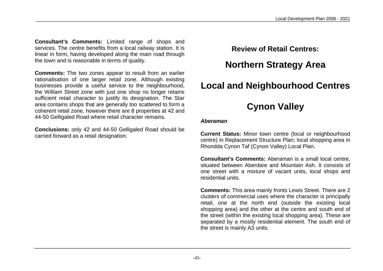**Consultant's Comments:** Limited range of shops and services. The centre benefits from a local railway station. It is linear in form, having developed along the main road through the town and is reasonable in terms of quality.

**Comments:** The two zones appear to result from an earlier rationalisation of one larger retail zone. Although existing businesses provide a useful service to the neighbourhood, the William Street zone with just one shop no longer retains sufficient retail character to justify its designation. The Star area contains shops that are generally too scattered to form a coherent retail zone, however there are 8 properties at 42 and 44-50 Gelligaled Road where retail character remains.

**Conclusions:** only 42 and 44-50 Gelligaled Road should be carried forward as a retail designation.

**Review of Retail Centres:**

### **Northern Strategy Area**

### **Local and Neighbourhood Centres**

### **Cynon Valley**

#### *Aberaman*

**Current Status:** Minor town centre (local or neighbourhood centre) in Replacement Structure Plan; local shopping area in Rhondda Cynon Taf (Cynon Valley) Local Plan.

**Consultant's Comments:** Aberaman is a small local centre, situated between Aberdare and Mountain Ash. It consists of one street with a mixture of vacant units, local shops and residential units.

**Comments:** This area mainly fronts Lewis Street. There are 2 clusters of commercial uses where the character is principally retail, one at the north end (outside the existing local shopping area) and the other at the centre and south end of the street (within the existing local shopping area). These are separated by a mostly residential element. The south end of the street is mainly A3 units.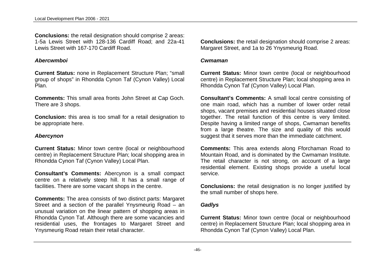**Conclusions:** the retail designation should comprise 2 areas: 1-5a Lewis Street with 128-136 Cardiff Road; and 22a-41 Lewis Street with 167-170 Cardiff Road.

#### *Abercwmboi*

**Current Status:** none in Replacement Structure Plan; "small group of shops" in Rhondda Cynon Taf (Cynon Valley) Local Plan.

**Comments:** This small area fronts John Street at Cap Goch. There are 3 shops.

**Conclusion:** this area is too small for a retail designation to be appropriate here.

#### *Abercynon*

**Current Status:** Minor town centre (local or neighbourhood centre) in Replacement Structure Plan; local shopping area in Rhondda Cynon Taf (Cynon Valley) Local Plan.

**Consultant's Comments:** Abercynon is a small compact centre on a relatively steep hill. It has a small range of facilities. There are some vacant shops in the centre.

**Comments:** The area consists of two distinct parts: Margaret Street and a section of the parallel Ynysmeurig Road – an unusual variation on the linear pattern of shopping areas in Rhondda Cynon Taf. Although there are some vacancies and residential uses, the frontages to Margaret Street and Ynysmeurig Road retain their retail character.

**Conclusions:** the retail designation should comprise 2 areas: Margaret Street, and 1a to 26 Ynysmeurig Road.

#### *Cwmaman*

**Current Status:** Minor town centre (local or neighbourhood centre) in Replacement Structure Plan; local shopping area in Rhondda Cynon Taf (Cynon Valley) Local Plan.

**Consultant's Comments:** A small local centre consisting of one main road, which has a number of lower order retail shops, vacant premises and residential houses situated close together. The retail function of this centre is very limited. Despite having a limited range of shops, Cwmaman benefits from a large theatre. The size and quality of this would suggest that it serves more than the immediate catchment.

**Comments:** This area extends along Fforchaman Road to Mountain Road, and is dominated by the Cwmaman Institute. The retail character is not strong, on account of a large residential element. Existing shops provide a useful local service.

**Conclusions:** the retail designation is no longer justified by the small number of shops here.

#### *Gadlys*

**Current Status:** Minor town centre (local or neighbourhood centre) in Replacement Structure Plan; local shopping area in Rhondda Cynon Taf (Cynon Valley) Local Plan.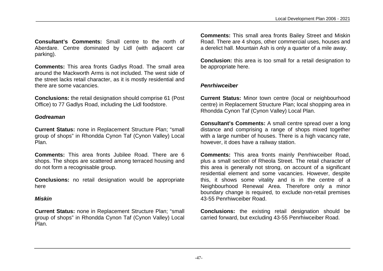**Consultant's Comments:** Small centre to the north of Aberdare. Centre dominated by Lidl (with adjacent car parking).

**Comments:** This area fronts Gadlys Road. The small area around the Mackworth Arms is not included. The west side of the street lacks retail character, as it is mostly residential and there are some vacancies.

**Conclusions:** the retail designation should comprise 61 (Post Office) to 77 Gadlys Road, including the Lidl foodstore.

#### *Godreaman*

**Current Status:** none in Replacement Structure Plan; "small group of shops" in Rhondda Cynon Taf (Cynon Valley) Local Plan.

**Comments:** This area fronts Jubilee Road. There are 6 shops. The shops are scattered among terraced housing and do not form a recognisable group.

**Conclusions:** no retail designation would be appropriate here

#### *Miskin*

**Current Status:** none in Replacement Structure Plan; "small group of shops" in Rhondda Cynon Taf (Cynon Valley) Local Plan.

**Comments:** This small area fronts Bailey Street and Miskin Road. There are 4 shops, other commercial uses, houses and a derelict hall. Mountain Ash is only a quarter of a mile away.

**Conclusion:** this area is too small for a retail designation to be appropriate here.

#### *Penrhiwceiber*

**Current Status:** Minor town centre (local or neighbourhood centre) in Replacement Structure Plan; local shopping area in Rhondda Cynon Taf (Cynon Valley) Local Plan.

**Consultant's Comments:** A small centre spread over a long distance and comprising a range of shops mixed together with a large number of houses. There is a high vacancy rate, however, it does have a railway station.

**Comments:** This area fronts mainly Penrhiwceiber Road, plus a small section of Rheola Street. The retail character of this area is generally not strong, on account of a significant residential element and some vacancies. However, despite this, it shows some vitality and is in the centre of a Neighbourhood Renewal Area. Therefore only a minor boundary change is required, to exclude non-retail premises 43-55 Penrhiwceiber Road.

**Conclusions:** the existing retail designation should be carried forward, but excluding 43-55 Penrhiwceiber Road.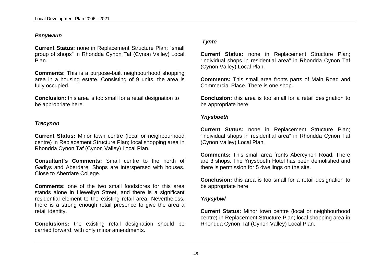#### *Penywaun*

**Current Status:** none in Replacement Structure Plan; "small group of shops" in Rhondda Cynon Taf (Cynon Valley) Local Plan.

**Comments:** This is a purpose-built neighbourhood shopping area in a housing estate. Consisting of 9 units, the area is fully occupied.

**Conclusion:** this area is too small for a retail designation to be appropriate here.

#### *Trecynon*

**Current Status:** Minor town centre (local or neighbourhood centre) in Replacement Structure Plan; local shopping area in Rhondda Cynon Taf (Cynon Valley) Local Plan.

**Consultant's Comments:** Small centre to the north of Gadlys and Aberdare. Shops are interspersed with houses. Close to Aberdare College.

**Comments:** one of the two small foodstores for this area stands alone in Llewellyn Street, and there is a significant residential element to the existing retail area. Nevertheless, there is a strong enough retail presence to give the area a retail identity.

**Conclusions:** the existing retail designation should be carried forward, with only minor amendments.

#### *Tynte*

**Current Status:** none in Replacement Structure Plan; "individual shops in residential area" in Rhondda Cynon Taf (Cynon Valley) Local Plan.

**Comments:** This small area fronts parts of Main Road and Commercial Place. There is one shop.

**Conclusion:** this area is too small for a retail designation to be appropriate here.

#### *Ynysboeth*

**Current Status:** none in Replacement Structure Plan; "individual shops in residential area" in Rhondda Cynon Taf (Cynon Valley) Local Plan.

**Comments:** This small area fronts Abercynon Road. There are 3 shops. The Ynysboeth Hotel has been demolished and there is permission for 5 dwellings on the site.

**Conclusion:** this area is too small for a retail designation to be appropriate here.

#### *Ynysybwl*

**Current Status:** Minor town centre (local or neighbourhood centre) in Replacement Structure Plan; local shopping area in Rhondda Cynon Taf (Cynon Valley) Local Plan.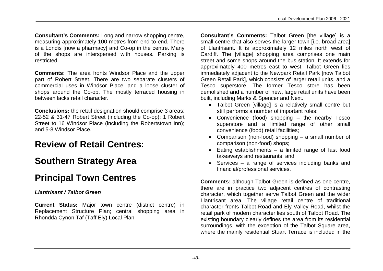**Consultant's Comments:** Long and narrow shopping centre, measuring approximately 100 metres from end to end. There is a Londis [now a pharmacy] and Co-op in the centre. Many of the shops are interspersed with houses. Parking is restricted.

**Comments:** The area fronts Windsor Place and the upper part of Robert Street. There are two separate clusters of commercial uses in Windsor Place, and a loose cluster of shops around the Co-op. The mostly terraced housing in between lacks retail character.

**Conclusions:** the retail designation should comprise 3 areas: 22-52 & 31-47 Robert Street (including the Co-op); 1 Robert Street to 16 Windsor Place (including the Robertstown Inn); and 5-8 Windsor Place.

### **Review of Retail Centres:**

### **Southern Strategy Area**

### **Principal Town Centres**

#### *Llantrisant / Talbot Green*

**Current Status:** Major town centre (district centre) in Replacement Structure Plan; central shopping area in Rhondda Cynon Taf (Taff Ely) Local Plan.

**Consultant's Comments:** Talbot Green [the village] is a small centre that also serves the larger town [i.e. broad area] of Llantrisant. It is approximately 12 miles north west of Cardiff. The [village] shopping area comprises one main street and some shops around the bus station. It extends for approximately 400 metres east to west. Talbot Green lies immediately adjacent to the Newpark Retail Park [now Talbot Green Retail Park], which consists of larger retail units, and a Tesco superstore. The former Tesco store has been demolished and a number of new, large retail units have been built, including Marks & Spencer and Next.

- Talbot Green [village] is a relatively small centre but still performs a number of important roles:
- Convenience (food) shopping the nearby Tesco superstore and a limited range of other small convenience (food) retail facilities;
- Comparison (non-food) shopping a small number of comparison (non-food) shops;
- Eating establishments a limited range of fast food takeaways and restaurants; and
- Services a range of services including banks and financial/professional services.

**Comments:** although Talbot Green is defined as one centre, there are in practice two adjacent centres of contrasting character, which together serve Talbot Green and the wider Llantrisant area. The village retail centre of traditional character fronts Talbot Road and Ely Valley Road, whilst the retail park of modern character lies south of Talbot Road. The existing boundary clearly defines the area from its residential surroundings, with the exception of the Talbot Square area, where the mainly residential Stuart Terrace is included in the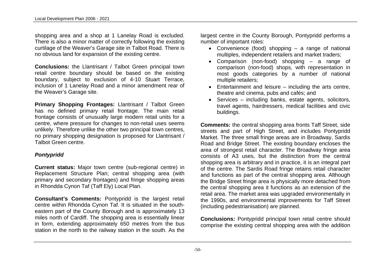shopping area and a shop at 1 Lanelay Road is excluded. There is also a minor matter of correctly following the existing curtilage of the Weaver's Garage site in Talbot Road. There is no obvious land for expansion of the existing centre.

**Conclusions:** the Llantrisant / Talbot Green principal town retail centre boundary should be based on the existing boundary, subject to exclusion of 4-10 Stuart Terrace, inclusion of 1 Lanelay Road and a minor amendment rear of the Weaver's Garage site.

**Primary Shopping Frontages:** Llantrisant / Talbot Green has no defined primary retail frontage. The main retail frontage consists of unusually large modern retail units for a centre, where pressure for changes to non-retail uses seems unlikely. Therefore unlike the other two principal town centres, no primary shopping designation is proposed for Llantrisant / Talbot Green centre.

#### *Pontypridd*

**Current status:** Major town centre (sub-regional centre) in Replacement Structure Plan; central shopping area (with primary and secondary frontages) and fringe shopping areas in Rhondda Cynon Taf (Taff Ely) Local Plan.

**Consultant's Comments:** Pontypridd is the largest retail centre within Rhondda Cynon Taf. It is situated in the southeastern part of the County Borough and is approximately 13 miles north of Cardiff. The shopping area is essentially linear in form, extending approximately 650 metres from the bus station in the north to the railway station in the south. As the

largest centre in the County Borough, Pontypridd performs a number of important roles:

- Convenience (food) shopping a range of national multiples, independent retailers and market traders;
- Comparison (non-food) shopping a range of comparison (non-food) shops, with representation in most goods categories by a number of national multiple retailers;
- Entertainment and leisure including the arts centre, theatre and cinema, pubs and cafés; and
- Services including banks, estate agents, solicitors, travel agents, hairdressers, medical facilities and civic buildings.

**Comments:** the central shopping area fronts Taff Street, side streets and part of High Street, and includes Pontypridd Market. The three small fringe areas are in Broadway, Sardis Road and Bridge Street. The existing boundary encloses the area of strongest retail character. The Broadway fringe area consists of A3 uses, but the distinction from the central shopping area is arbitrary and in practice, it is an integral part of the centre. The Sardis Road fringe retains retail character and functions as part of the central shopping area. Although the Bridge Street fringe area is physically more detached from the central shopping area it functions as an extension of the retail area. The market area was upgraded environmentally in the 1990s, and environmental improvements for Taff Street (including pedestrianisation) are planned.

**Conclusions:** Pontypridd principal town retail centre should comprise the existing central shopping area with the addition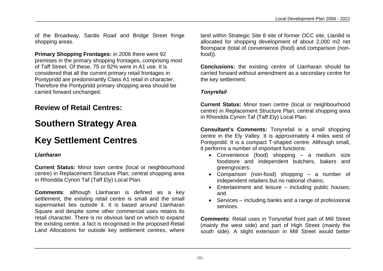of the Broadway, Sardis Road and Bridge Street fringe shopping areas.

**Primary Shopping Frontages:** in 2006 there were 92 premises in the primary shopping frontages, comprising most of Taff Street. Of these, 75 or 82% were in A1 use. It is considered that all the current primary retail frontages in Pontypridd are predominantly Class A1 retail in character. Therefore the Pontypridd primary shopping area should be carried forward unchanged.

### **Review of Retail Centres:**

### **Southern Strategy Area**

## **Key Settlement Centres**

#### *Llanharan*

**Current Status:** Minor town centre (local or neighbourhood centre) in Replacement Structure Plan; central shopping area in Rhondda Cynon Taf (Taff Ely) Local Plan.

**Comments**: although Llanharan is defined as a key settlement, the existing retail centre is small and the small supermarket lies outside it. It is based around Llanharan Square and despite some other commercial uses retains its retail character. There is no obvious land on which to expand the existing centre, a fact is recognised in the proposed Retail Land Allocations for outside key settlement centres, where

land within Strategic Site 8 site of former OCC site, Llanilid is allocated for shopping development of about 2,000 m2 net floorspace (total of convenience (food) and comparison (nonfood)).

**Conclusions:** the existing centre of Llanharan should be carried forward without amendment as a secondary centre for the key settlement.

#### *Tonyrefail*

**Current Status:** Minor town centre (local or neighbourhood centre) in Replacement Structure Plan; central shopping area in Rhondda Cynon Taf (Taff Ely) Local Plan.

**Consultant's Comments:** Tonyrefail is a small shopping centre in the Ely Valley. It is approximately 4 miles west of Pontypridd. It is a compact T-shaped centre. Although small, it performs a number of important functions:

- Convenience (food) shopping a medium size foodstore and independent butchers, bakers and greengrocers;
- Comparison (non-food) shopping a number of independent retailers but no national chains;
- Entertainment and leisure including public houses: and
- Services including banks and a range of professional services.

**Comments**: Retail uses in Tonyrefail front part of Mill Street (mainly the west side) and part of High Street (mainly the south side). A slight extension in Mill Street would better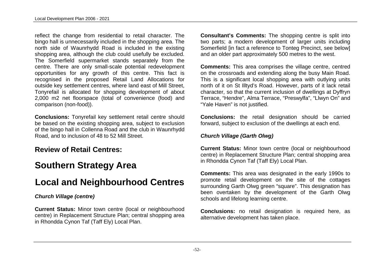reflect the change from residential to retail character. The bingo hall is unnecessarily included in the shopping area. The north side of Waunrhydd Road is included in the existing shopping area, although the club could usefully be excluded. The Somerfield supermarket stands separately from the centre. There are only small-scale potential redevelopment opportunities for any growth of this centre. This fact is recognised in the proposed Retail Land Allocations for outside key settlement centres, where land east of Mill Street, Tonyrefail is allocated for shopping development of about 2,000 m2 net floorspace (total of convenience (food) and comparison (non-food)).

**Conclusions:** Tonyrefail key settlement retail centre should be based on the existing shopping area, subject to exclusion of the bingo hall in Collenna Road and the club in Waunrhydd Road, and to inclusion of 48 to 52 Mill Street.

### **Review of Retail Centres:**

### **Southern Strategy Area**

### **Local and Neighbourhood Centres**

#### *Church Village (centre)*

**Current Status:** Minor town centre (local or neighbourhood centre) in Replacement Structure Plan; central shopping area in Rhondda Cynon Taf (Taff Ely) Local Plan.

**Consultant's Comments:** The shopping centre is split into two parts; a modern development of larger units including Somerfield [in fact a reference to Tonteg Precinct, see below] and an older part approximately 500 metres to the west.

**Comments:** This area comprises the village centre, centred on the crossroads and extending along the busy Main Road. This is a significant local shopping area with outlying units north of it on St Illtyd's Road. However, parts of it lack retail character, so that the current inclusion of dwellings at Dyffryn Terrace, "Hendre", Alma Terrace, "Preswylfa", "Llwyn On" and "Yale Haven" is not justified.

**Conclusions:** the retail designation should be carried forward, subject to exclusion of the dwellings at each end.

#### *Church Village (Garth Olwg)*

**Current Status:** Minor town centre (local or neighbourhood centre) in Replacement Structure Plan; central shopping area in Rhondda Cynon Taf (Taff Ely) Local Plan.

**Comments:** This area was designated in the early 1990s to promote retail development on the site of the cottages surrounding Garth Olwg green "square". This designation has been overtaken by the development of the Garth Olwg schools and lifelong learning centre.

**Conclusions:** no retail designation is required here, as alternative development has taken place.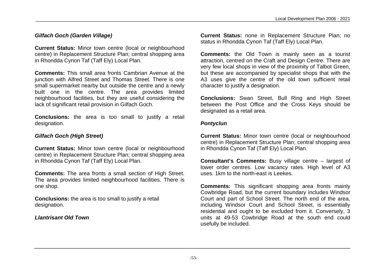#### *Gilfach Goch (Garden Village)*

**Current Status:** Minor town centre (local or neighbourhood centre) in Replacement Structure Plan; central shopping area in Rhondda Cynon Taf (Taff Ely) Local Plan.

**Comments:** This small area fronts Cambrian Avenue at the junction with Alfred Street and Thomas Street. There is one small supermarket nearby but outside the centre and a newly built one in the centre. The area provides limited neighbourhood facilities, but they are useful considering the lack of significant retail provision in Gilfach Goch.

**Conclusions:** the area is too small to justify a retail designation.

#### *Gilfach Goch (High Street)*

**Current Status:** Minor town centre (local or neighbourhood centre) in Replacement Structure Plan; central shopping area in Rhondda Cynon Taf (Taff Ely) Local Plan.

**Comments:** The area fronts a small section of High Street. The area provides limited neighbourhood facilities. There is one shop.

**Conclusions:** the area is too small to justify a retail designation.

*Llantrisant Old Town*

**Current Status:** none in Replacement Structure Plan; no status in Rhondda Cynon Taf (Taff Ely) Local Plan.

**Comments:** the Old Town is mainly seen as a tourist attraction, centred on the Craft and Design Centre. There are very few local shops in view of the proximity of Talbot Green, but these are accompanied by specialist shops that with the A3 uses give the centre of the old town sufficient retail character to justify a designation.

**Conclusions:** Swan Street, Bull Ring and High Street between the Post Office and the Cross Keys should be designated as a retail area.

#### *Pontyclun*

**Current Status:** Minor town centre (local or neighbourhood centre) in Replacement Structure Plan; central shopping area in Rhondda Cynon Taf (Taff Ely) Local Plan.

**Consultant's Comments:** Busy village centre – largest of lower order centres. Low vacancy rates. High level of A3 uses. 1km to the north-east is Leekes.

**Comments:** This significant shopping area fronts mainly Cowbridge Road, but the current boundary includes Windsor Court and part of School Street. The north end of the area, including Windsor Court and School Street, is essentially residential and ought to be excluded from it. Conversely, 3 units at 49-53 Cowbridge Road at the south end could usefully be included.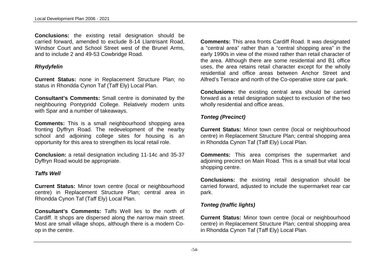**Conclusions:** the existing retail designation should be carried forward, amended to exclude 8-14 Llantrisant Road, Windsor Court and School Street west of the Brunel Arms, and to include 2 and 49-53 Cowbridge Road.

#### *Rhydyfelin*

**Current Status:** none in Replacement Structure Plan; no status in Rhondda Cynon Taf (Taff Ely) Local Plan.

**Consultant's Comments:** Small centre is dominated by the neighbouring Pontypridd College. Relatively modern units with Spar and a number of takeaways.

**Comments:** This is a small neighbourhood shopping area fronting Dyffryn Road. The redevelopment of the nearby school and adjoining college sites for housing is an opportunity for this area to strengthen its local retail role.

**Conclusion:** a retail designation including 11-14c and 35-37 Dyffryn Road would be appropriate.

#### *Taffs Well*

**Current Status:** Minor town centre (local or neighbourhood centre) in Replacement Structure Plan; central area in Rhondda Cynon Taf (Taff Ely) Local Plan.

**Consultant's Comments:** Taffs Well lies to the north of Cardiff. It shops are dispersed along the narrow main street. Most are small village shops, although there is a modern Coop in the centre.

**Comments:** This area fronts Cardiff Road. It was designated a "central area" rather than a "central shopping area" in the early 1990s in view of the mixed rather than retail character of the area. Although there are some residential and B1 office uses, the area retains retail character except for the wholly residential and office areas between Anchor Street and Alfred's Terrace and north of the Co-operative store car park.

**Conclusions:** the existing central area should be carried forward as a retail designation subject to exclusion of the two wholly residential and office areas.

#### *Tonteg (Precinct)*

**Current Status:** Minor town centre (local or neighbourhood centre) in Replacement Structure Plan; central shopping area in Rhondda Cynon Taf (Taff Ely) Local Plan.

**Comments:** This area comprises the supermarket and adjoining precinct on Main Road. This is a small but vital local shopping centre.

**Conclusions:** the existing retail designation should be carried forward, adjusted to include the supermarket rear car park.

#### *Tonteg (traffic lights)*

**Current Status:** Minor town centre (local or neighbourhood centre) in Replacement Structure Plan; central shopping area in Rhondda Cynon Taf (Taff Ely) Local Plan.